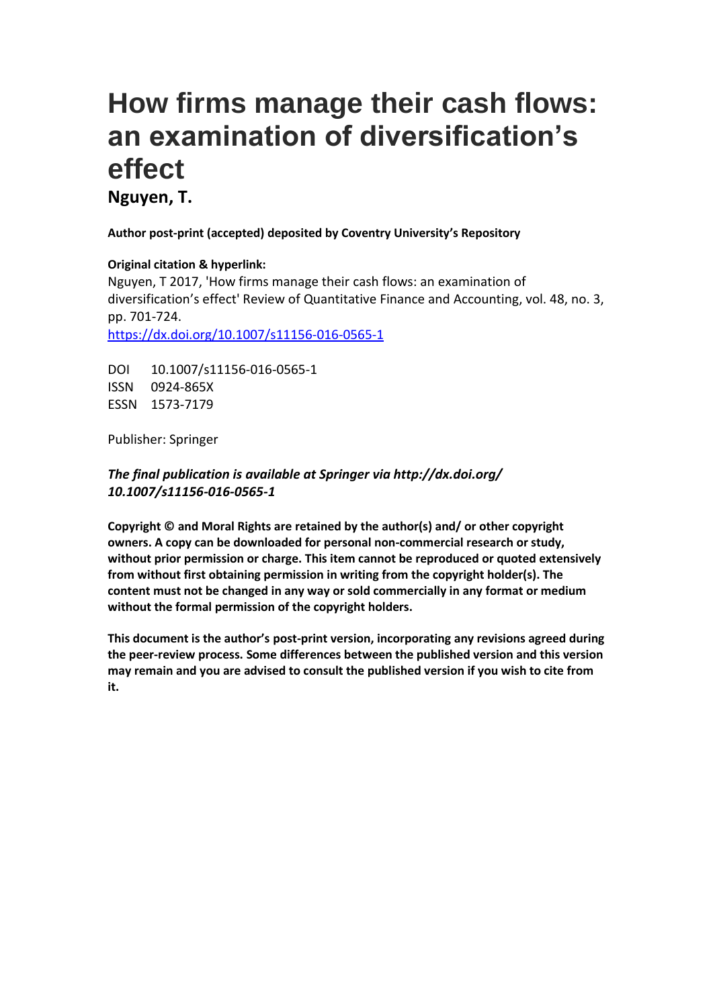# **How firms manage their cash flows: an examination of diversification's effect**

**Nguyen, T.**

**Author post-print (accepted) deposited by Coventry University's Repository**

# **Original citation & hyperlink:**

Nguyen, T 2017, 'How firms manage their cash flows: an examination of diversification's effect' Review of Quantitative Finance and Accounting, vol. 48, no. 3, pp. 701-724. <https://dx.doi.org/10.1007/s11156-016-0565-1>

DOI 10.1007/s11156-016-0565-1 ISSN 0924-865X ESSN 1573-7179

Publisher: Springer

# *The final publication is available at Springer via http://dx.doi.org/ 10.1007/s11156-016-0565-1*

**Copyright © and Moral Rights are retained by the author(s) and/ or other copyright owners. A copy can be downloaded for personal non-commercial research or study, without prior permission or charge. This item cannot be reproduced or quoted extensively from without first obtaining permission in writing from the copyright holder(s). The content must not be changed in any way or sold commercially in any format or medium without the formal permission of the copyright holders.** 

**This document is the author's post-print version, incorporating any revisions agreed during the peer-review process. Some differences between the published version and this version may remain and you are advised to consult the published version if you wish to cite from it.**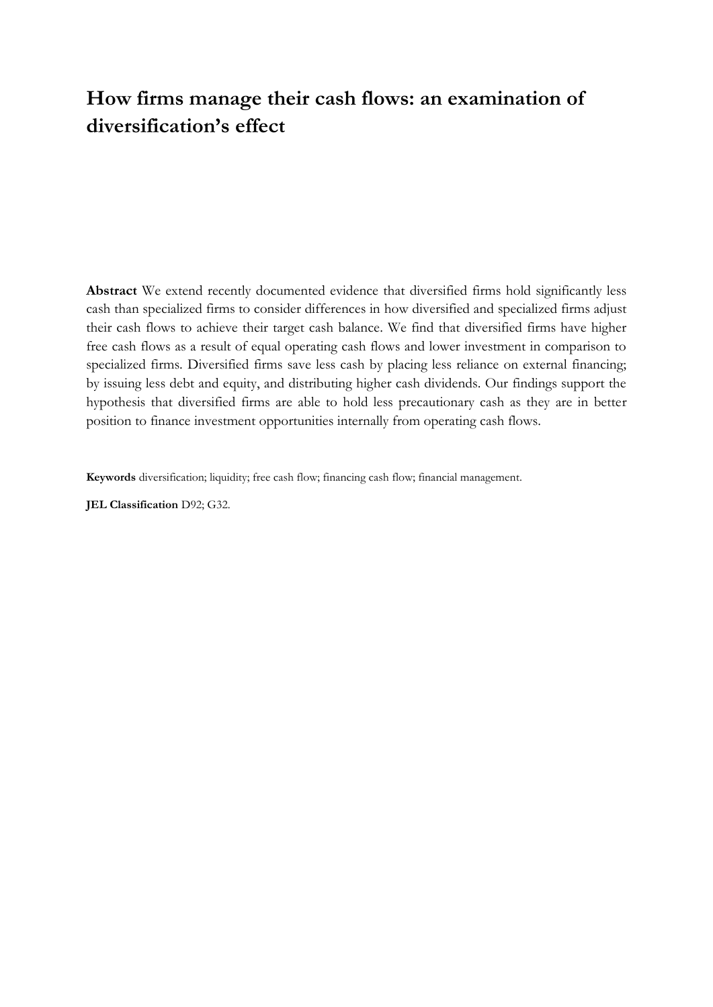# **How firms manage their cash flows: an examination of diversification's effect**

**Abstract** We extend recently documented evidence that diversified firms hold significantly less cash than specialized firms to consider differences in how diversified and specialized firms adjust their cash flows to achieve their target cash balance. We find that diversified firms have higher free cash flows as a result of equal operating cash flows and lower investment in comparison to specialized firms. Diversified firms save less cash by placing less reliance on external financing; by issuing less debt and equity, and distributing higher cash dividends. Our findings support the hypothesis that diversified firms are able to hold less precautionary cash as they are in better position to finance investment opportunities internally from operating cash flows.

**Keywords** diversification; liquidity; free cash flow; financing cash flow; financial management.

**JEL Classification** D92; G32.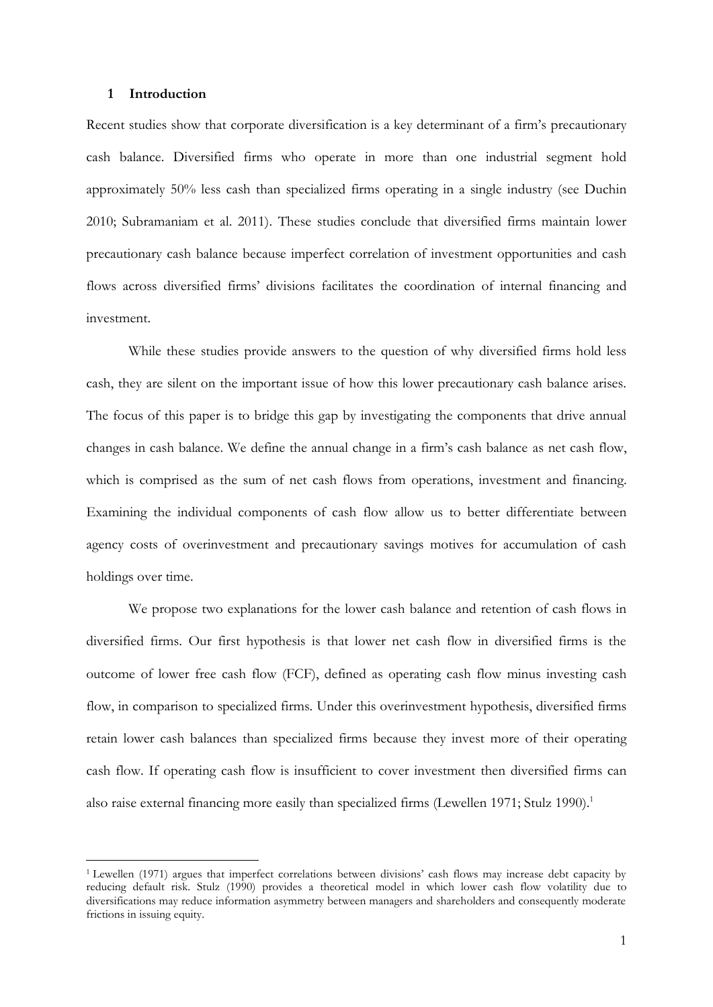#### **1 Introduction**

-

Recent studies show that corporate diversification is a key determinant of a firm's precautionary cash balance. Diversified firms who operate in more than one industrial segment hold approximately 50% less cash than specialized firms operating in a single industry (see Duchin 2010; Subramaniam et al. 2011). These studies conclude that diversified firms maintain lower precautionary cash balance because imperfect correlation of investment opportunities and cash flows across diversified firms' divisions facilitates the coordination of internal financing and investment.

While these studies provide answers to the question of why diversified firms hold less cash, they are silent on the important issue of how this lower precautionary cash balance arises. The focus of this paper is to bridge this gap by investigating the components that drive annual changes in cash balance. We define the annual change in a firm's cash balance as net cash flow, which is comprised as the sum of net cash flows from operations, investment and financing. Examining the individual components of cash flow allow us to better differentiate between agency costs of overinvestment and precautionary savings motives for accumulation of cash holdings over time.

We propose two explanations for the lower cash balance and retention of cash flows in diversified firms. Our first hypothesis is that lower net cash flow in diversified firms is the outcome of lower free cash flow (FCF), defined as operating cash flow minus investing cash flow, in comparison to specialized firms. Under this overinvestment hypothesis, diversified firms retain lower cash balances than specialized firms because they invest more of their operating cash flow. If operating cash flow is insufficient to cover investment then diversified firms can also raise external financing more easily than specialized firms (Lewellen 1971; Stulz 1990).<sup>1</sup>

<sup>1</sup> Lewellen (1971) argues that imperfect correlations between divisions' cash flows may increase debt capacity by reducing default risk. Stulz (1990) provides a theoretical model in which lower cash flow volatility due to diversifications may reduce information asymmetry between managers and shareholders and consequently moderate frictions in issuing equity.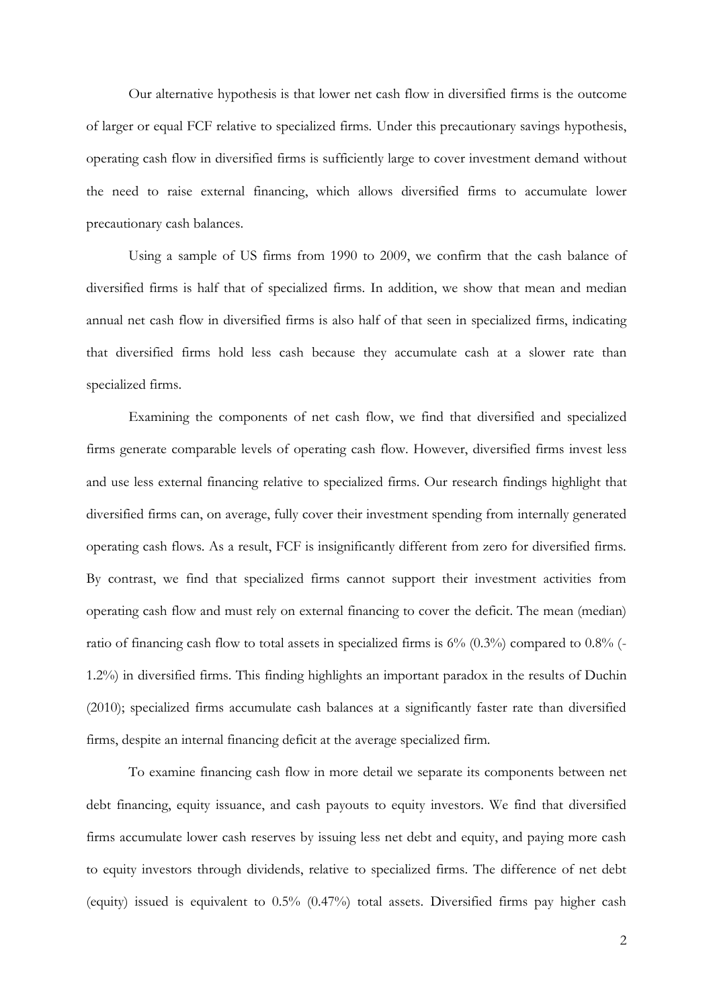Our alternative hypothesis is that lower net cash flow in diversified firms is the outcome of larger or equal FCF relative to specialized firms. Under this precautionary savings hypothesis, operating cash flow in diversified firms is sufficiently large to cover investment demand without the need to raise external financing, which allows diversified firms to accumulate lower precautionary cash balances.

Using a sample of US firms from 1990 to 2009, we confirm that the cash balance of diversified firms is half that of specialized firms. In addition, we show that mean and median annual net cash flow in diversified firms is also half of that seen in specialized firms, indicating that diversified firms hold less cash because they accumulate cash at a slower rate than specialized firms.

Examining the components of net cash flow, we find that diversified and specialized firms generate comparable levels of operating cash flow. However, diversified firms invest less and use less external financing relative to specialized firms. Our research findings highlight that diversified firms can, on average, fully cover their investment spending from internally generated operating cash flows. As a result, FCF is insignificantly different from zero for diversified firms. By contrast, we find that specialized firms cannot support their investment activities from operating cash flow and must rely on external financing to cover the deficit. The mean (median) ratio of financing cash flow to total assets in specialized firms is  $6\%$   $(0.3\%)$  compared to  $0.8\%$  (-1.2%) in diversified firms. This finding highlights an important paradox in the results of Duchin (2010); specialized firms accumulate cash balances at a significantly faster rate than diversified firms, despite an internal financing deficit at the average specialized firm.

To examine financing cash flow in more detail we separate its components between net debt financing, equity issuance, and cash payouts to equity investors. We find that diversified firms accumulate lower cash reserves by issuing less net debt and equity, and paying more cash to equity investors through dividends, relative to specialized firms. The difference of net debt (equity) issued is equivalent to 0.5% (0.47%) total assets. Diversified firms pay higher cash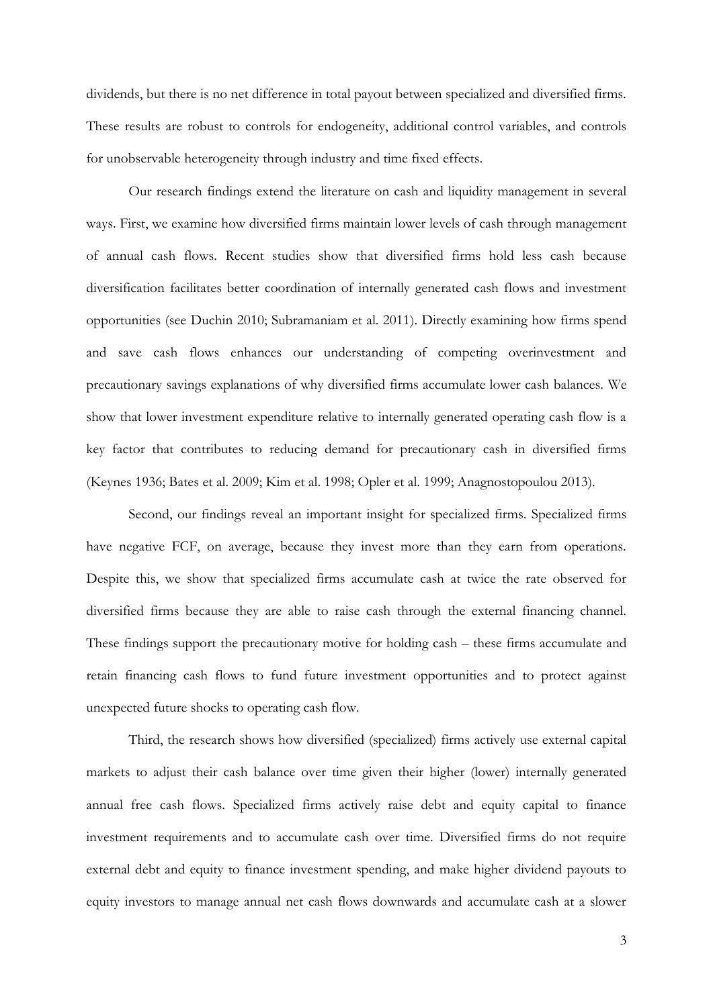dividends, but there is no net difference in total payout between specialized and diversified firms. These results are robust to controls for endogeneity, additional control variables, and controls for unobservable heterogeneity through industry and time fixed effects.

Our research findings extend the literature on cash and liquidity management in several ways. First, we examine how diversified firms maintain lower levels of cash through management of annual cash flows. Recent studies show that diversified firms hold less cash because diversification facilitates better coordination of internally generated cash flows and investment opportunities (see Duchin 2010; Subramaniam et al. 2011). Directly examining how firms spend and save cash flows enhances our understanding of competing overinvestment and precautionary savings explanations of why diversified firms accumulate lower cash balances. We show that lower investment expenditure relative to internally generated operating cash flow is a key factor that contributes to reducing demand for precautionary cash in diversified firms (Keynes 1936; Bates et al. 2009; Kim et al. 1998; Opler et al. 1999; Anagnostopoulou 2013).

Second, our findings reveal an important insight for specialized firms. Specialized firms have negative FCF, on average, because they invest more than they earn from operations. Despite this, we show that specialized firms accumulate cash at twice the rate observed for diversified firms because they are able to raise cash through the external financing channel. These findings support the precautionary motive for holding cash – these firms accumulate and retain financing cash flows to fund future investment opportunities and to protect against unexpected future shocks to operating cash flow.

Third, the research shows how diversified (specialized) firms actively use external capital markets to adjust their cash balance over time given their higher (lower) internally generated annual free cash flows. Specialized firms actively raise debt and equity capital to finance investment requirements and to accumulate cash over time. Diversified firms do not require external debt and equity to finance investment spending, and make higher dividend payouts to equity investors to manage annual net cash flows downwards and accumulate cash at a slower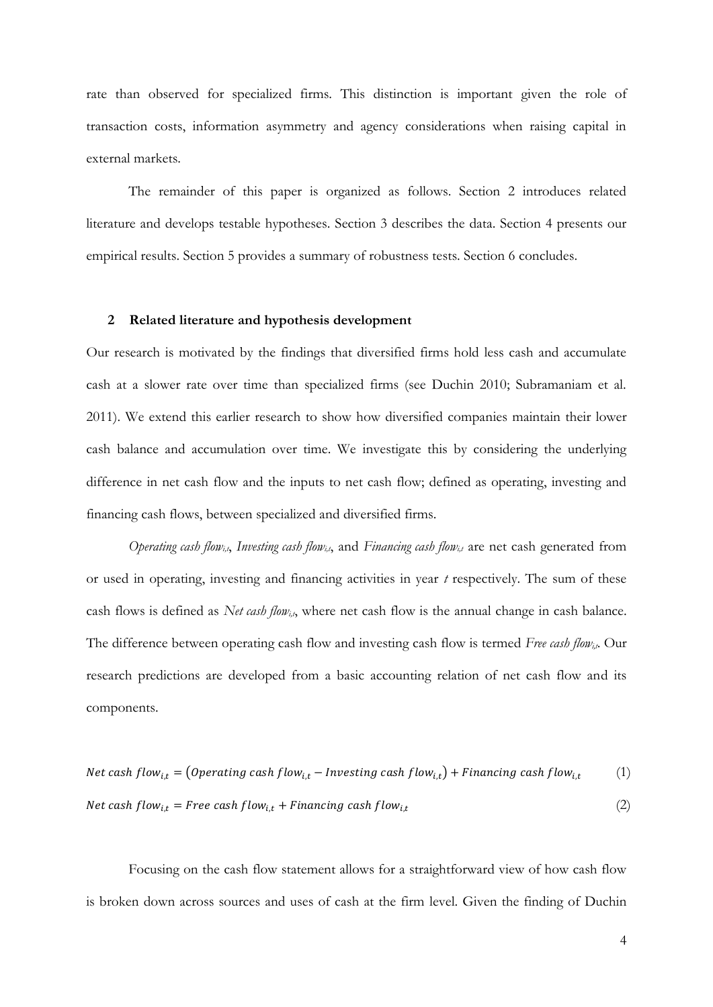rate than observed for specialized firms. This distinction is important given the role of transaction costs, information asymmetry and agency considerations when raising capital in external markets.

The remainder of this paper is organized as follows. Section 2 introduces related literature and develops testable hypotheses. Section 3 describes the data. Section 4 presents our empirical results. Section 5 provides a summary of robustness tests. Section 6 concludes.

#### **2 Related literature and hypothesis development**

Our research is motivated by the findings that diversified firms hold less cash and accumulate cash at a slower rate over time than specialized firms (see Duchin 2010; Subramaniam et al. 2011). We extend this earlier research to show how diversified companies maintain their lower cash balance and accumulation over time. We investigate this by considering the underlying difference in net cash flow and the inputs to net cash flow; defined as operating, investing and financing cash flows, between specialized and diversified firms.

*Operating cash flow<sub>is</sub>*, *Investing cash flow<sub>is</sub>*, and *Financing cash flow<sub>is</sub>* are net cash generated from or used in operating, investing and financing activities in year *t* respectively. The sum of these cash flows is defined as *Net cash flow<sub>i,t</sub>*, where net cash flow is the annual change in cash balance. The difference between operating cash flow and investing cash flow is termed *Free cash flowi,t*. Our research predictions are developed from a basic accounting relation of net cash flow and its components.

Net cash  $flow_{i,t} = (Operating cash flow_{i,t} - Investing cash flow_{i,t}) + Financialing cash flow_{i,t}$  (1) *Net cash*  $flow_{i,t}$  *= Free cash*  $flow_{i,t}$  *+ Financing cash*  $flow_{i,t}$ (2)

Focusing on the cash flow statement allows for a straightforward view of how cash flow is broken down across sources and uses of cash at the firm level. Given the finding of Duchin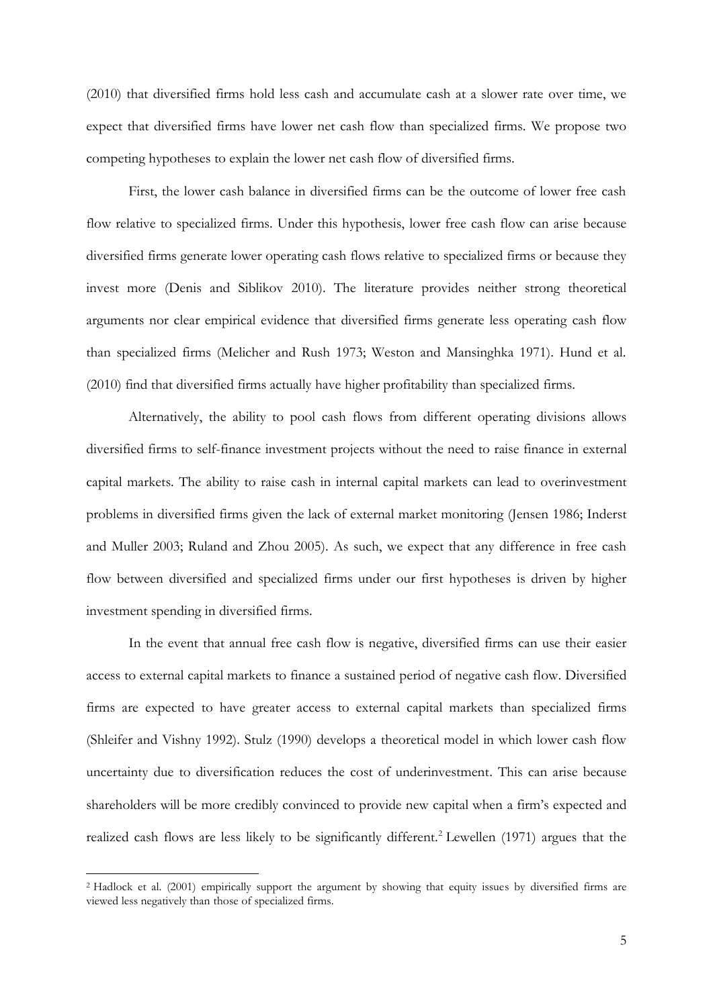(2010) that diversified firms hold less cash and accumulate cash at a slower rate over time, we expect that diversified firms have lower net cash flow than specialized firms. We propose two competing hypotheses to explain the lower net cash flow of diversified firms.

First, the lower cash balance in diversified firms can be the outcome of lower free cash flow relative to specialized firms. Under this hypothesis, lower free cash flow can arise because diversified firms generate lower operating cash flows relative to specialized firms or because they invest more (Denis and Siblikov 2010). The literature provides neither strong theoretical arguments nor clear empirical evidence that diversified firms generate less operating cash flow than specialized firms (Melicher and Rush 1973; Weston and Mansinghka 1971). Hund et al. (2010) find that diversified firms actually have higher profitability than specialized firms.

Alternatively, the ability to pool cash flows from different operating divisions allows diversified firms to self-finance investment projects without the need to raise finance in external capital markets. The ability to raise cash in internal capital markets can lead to overinvestment problems in diversified firms given the lack of external market monitoring (Jensen 1986; Inderst and Muller 2003; Ruland and Zhou 2005). As such, we expect that any difference in free cash flow between diversified and specialized firms under our first hypotheses is driven by higher investment spending in diversified firms.

In the event that annual free cash flow is negative, diversified firms can use their easier access to external capital markets to finance a sustained period of negative cash flow. Diversified firms are expected to have greater access to external capital markets than specialized firms (Shleifer and Vishny 1992). Stulz (1990) develops a theoretical model in which lower cash flow uncertainty due to diversification reduces the cost of underinvestment. This can arise because shareholders will be more credibly convinced to provide new capital when a firm's expected and realized cash flows are less likely to be significantly different.<sup>2</sup> Lewellen (1971) argues that the

-

<sup>2</sup> Hadlock et al. (2001) empirically support the argument by showing that equity issues by diversified firms are viewed less negatively than those of specialized firms.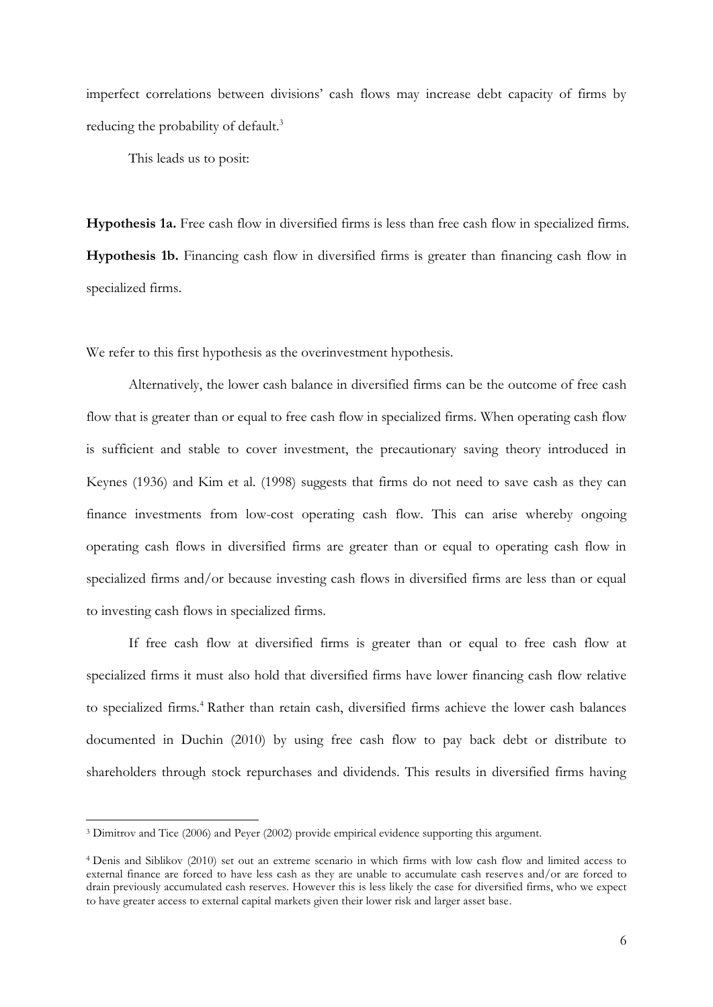imperfect correlations between divisions' cash flows may increase debt capacity of firms by reducing the probability of default.<sup>3</sup>

This leads us to posit:

**Hypothesis 1a.** Free cash flow in diversified firms is less than free cash flow in specialized firms. **Hypothesis 1b.** Financing cash flow in diversified firms is greater than financing cash flow in specialized firms.

We refer to this first hypothesis as the overinvestment hypothesis.

Alternatively, the lower cash balance in diversified firms can be the outcome of free cash flow that is greater than or equal to free cash flow in specialized firms. When operating cash flow is sufficient and stable to cover investment, the precautionary saving theory introduced in Keynes (1936) and Kim et al. (1998) suggests that firms do not need to save cash as they can finance investments from low-cost operating cash flow. This can arise whereby ongoing operating cash flows in diversified firms are greater than or equal to operating cash flow in specialized firms and/or because investing cash flows in diversified firms are less than or equal to investing cash flows in specialized firms.

If free cash flow at diversified firms is greater than or equal to free cash flow at specialized firms it must also hold that diversified firms have lower financing cash flow relative to specialized firms.<sup>4</sup> Rather than retain cash, diversified firms achieve the lower cash balances documented in Duchin (2010) by using free cash flow to pay back debt or distribute to shareholders through stock repurchases and dividends. This results in diversified firms having

-

<sup>3</sup> Dimitrov and Tice (2006) and Peyer (2002) provide empirical evidence supporting this argument.

<sup>4</sup> Denis and Siblikov (2010) set out an extreme scenario in which firms with low cash flow and limited access to external finance are forced to have less cash as they are unable to accumulate cash reserves and/or are forced to drain previously accumulated cash reserves. However this is less likely the case for diversified firms, who we expect to have greater access to external capital markets given their lower risk and larger asset base.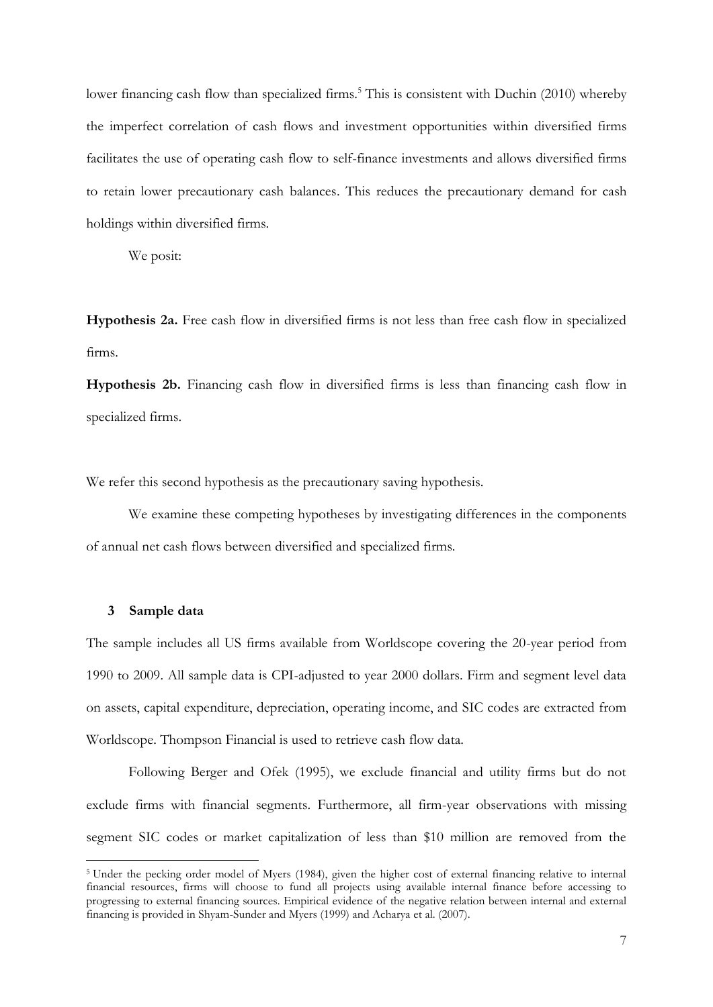lower financing cash flow than specialized firms.<sup>5</sup> This is consistent with Duchin (2010) whereby the imperfect correlation of cash flows and investment opportunities within diversified firms facilitates the use of operating cash flow to self-finance investments and allows diversified firms to retain lower precautionary cash balances. This reduces the precautionary demand for cash holdings within diversified firms.

We posit:

**Hypothesis 2a.** Free cash flow in diversified firms is not less than free cash flow in specialized firms.

**Hypothesis 2b.** Financing cash flow in diversified firms is less than financing cash flow in specialized firms.

We refer this second hypothesis as the precautionary saving hypothesis.

We examine these competing hypotheses by investigating differences in the components of annual net cash flows between diversified and specialized firms.

#### **3 Sample data**

-

The sample includes all US firms available from Worldscope covering the 20-year period from 1990 to 2009. All sample data is CPI-adjusted to year 2000 dollars. Firm and segment level data on assets, capital expenditure, depreciation, operating income, and SIC codes are extracted from Worldscope. Thompson Financial is used to retrieve cash flow data.

Following Berger and Ofek (1995), we exclude financial and utility firms but do not exclude firms with financial segments. Furthermore, all firm-year observations with missing segment SIC codes or market capitalization of less than \$10 million are removed from the

<sup>5</sup> Under the pecking order model of Myers (1984), given the higher cost of external financing relative to internal financial resources, firms will choose to fund all projects using available internal finance before accessing to progressing to external financing sources. Empirical evidence of the negative relation between internal and external financing is provided in Shyam-Sunder and Myers (1999) and Acharya et al. (2007).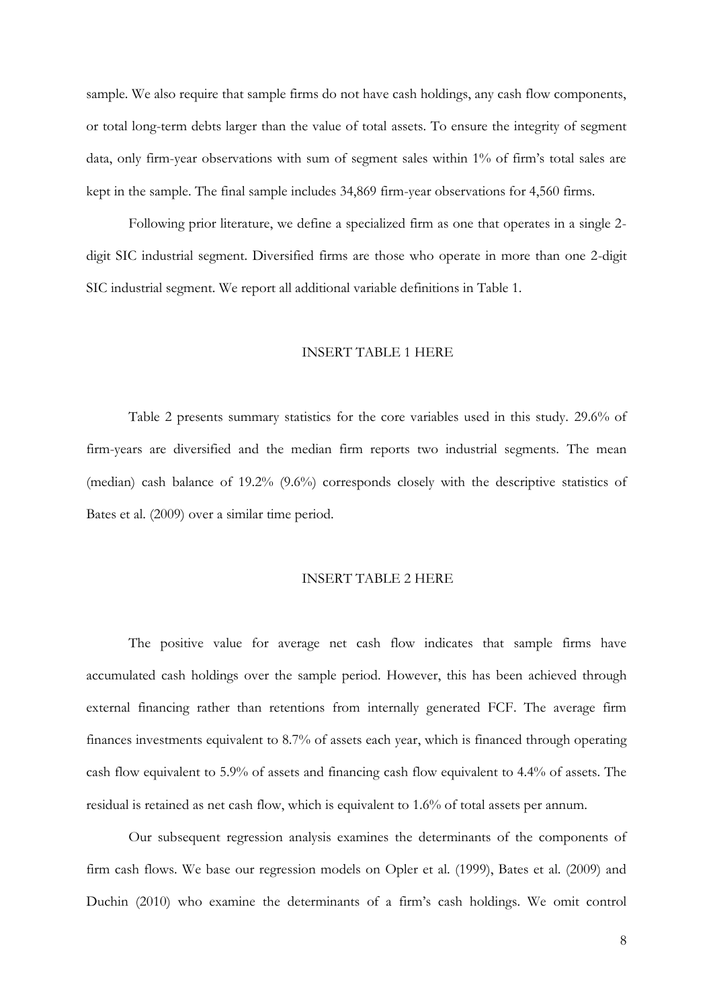sample. We also require that sample firms do not have cash holdings, any cash flow components, or total long-term debts larger than the value of total assets. To ensure the integrity of segment data, only firm-year observations with sum of segment sales within 1% of firm's total sales are kept in the sample. The final sample includes 34,869 firm-year observations for 4,560 firms.

Following prior literature, we define a specialized firm as one that operates in a single 2 digit SIC industrial segment. Diversified firms are those who operate in more than one 2-digit SIC industrial segment. We report all additional variable definitions in Table 1.

#### INSERT TABLE 1 HERE

Table 2 presents summary statistics for the core variables used in this study. 29.6% of firm-years are diversified and the median firm reports two industrial segments. The mean (median) cash balance of 19.2% (9.6%) corresponds closely with the descriptive statistics of Bates et al. (2009) over a similar time period.

#### INSERT TABLE 2 HERE

The positive value for average net cash flow indicates that sample firms have accumulated cash holdings over the sample period. However, this has been achieved through external financing rather than retentions from internally generated FCF. The average firm finances investments equivalent to 8.7% of assets each year, which is financed through operating cash flow equivalent to 5.9% of assets and financing cash flow equivalent to 4.4% of assets. The residual is retained as net cash flow, which is equivalent to 1.6% of total assets per annum.

Our subsequent regression analysis examines the determinants of the components of firm cash flows. We base our regression models on Opler et al. (1999), Bates et al. (2009) and Duchin (2010) who examine the determinants of a firm's cash holdings. We omit control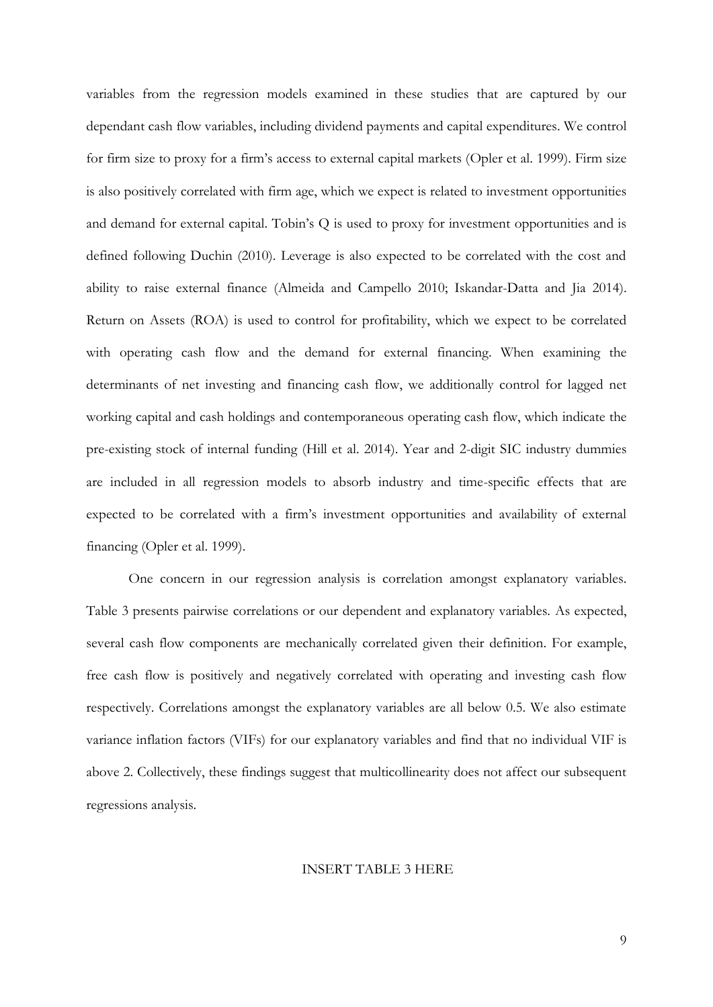variables from the regression models examined in these studies that are captured by our dependant cash flow variables, including dividend payments and capital expenditures. We control for firm size to proxy for a firm's access to external capital markets (Opler et al. 1999). Firm size is also positively correlated with firm age, which we expect is related to investment opportunities and demand for external capital. Tobin's Q is used to proxy for investment opportunities and is defined following Duchin (2010). Leverage is also expected to be correlated with the cost and ability to raise external finance (Almeida and Campello 2010; Iskandar-Datta and Jia 2014). Return on Assets (ROA) is used to control for profitability, which we expect to be correlated with operating cash flow and the demand for external financing. When examining the determinants of net investing and financing cash flow, we additionally control for lagged net working capital and cash holdings and contemporaneous operating cash flow, which indicate the pre-existing stock of internal funding (Hill et al. 2014). Year and 2-digit SIC industry dummies are included in all regression models to absorb industry and time-specific effects that are expected to be correlated with a firm's investment opportunities and availability of external financing (Opler et al. 1999).

One concern in our regression analysis is correlation amongst explanatory variables. Table 3 presents pairwise correlations or our dependent and explanatory variables. As expected, several cash flow components are mechanically correlated given their definition. For example, free cash flow is positively and negatively correlated with operating and investing cash flow respectively. Correlations amongst the explanatory variables are all below 0.5. We also estimate variance inflation factors (VIFs) for our explanatory variables and find that no individual VIF is above 2. Collectively, these findings suggest that multicollinearity does not affect our subsequent regressions analysis.

#### INSERT TABLE 3 HERE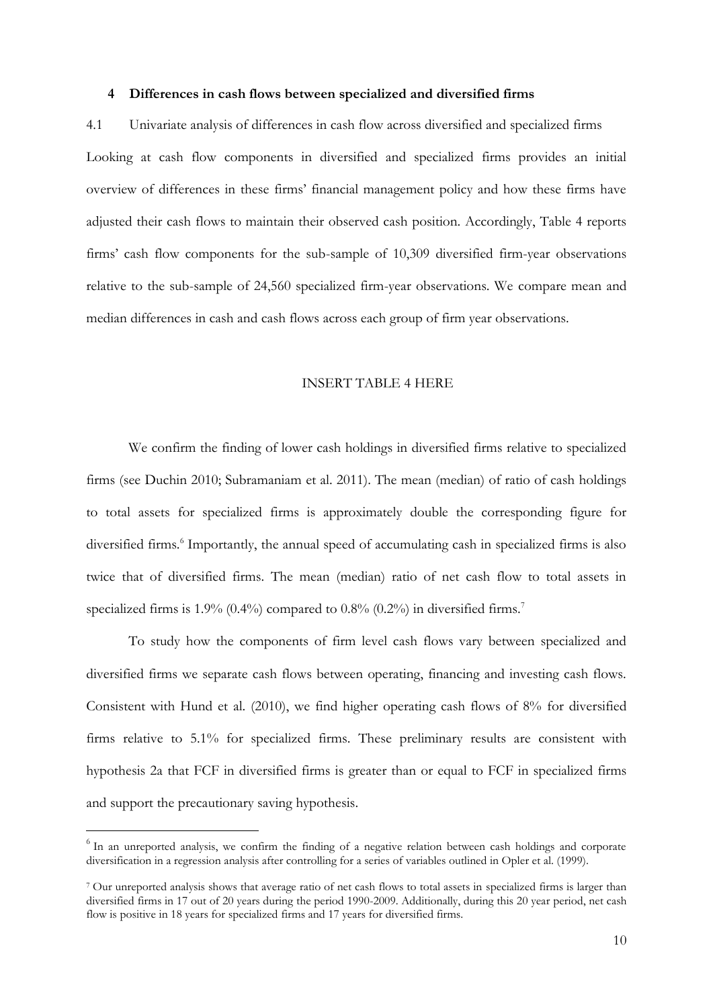#### **4 Differences in cash flows between specialized and diversified firms**

4.1 Univariate analysis of differences in cash flow across diversified and specialized firms Looking at cash flow components in diversified and specialized firms provides an initial overview of differences in these firms' financial management policy and how these firms have adjusted their cash flows to maintain their observed cash position. Accordingly, Table 4 reports firms' cash flow components for the sub-sample of 10,309 diversified firm-year observations relative to the sub-sample of 24,560 specialized firm-year observations. We compare mean and median differences in cash and cash flows across each group of firm year observations.

#### INSERT TABLE 4 HERE

We confirm the finding of lower cash holdings in diversified firms relative to specialized firms (see Duchin 2010; Subramaniam et al. 2011). The mean (median) of ratio of cash holdings to total assets for specialized firms is approximately double the corresponding figure for diversified firms.<sup>6</sup> Importantly, the annual speed of accumulating cash in specialized firms is also twice that of diversified firms. The mean (median) ratio of net cash flow to total assets in specialized firms is 1.9% (0.4%) compared to  $0.8\%$  (0.2%) in diversified firms.<sup>7</sup>

To study how the components of firm level cash flows vary between specialized and diversified firms we separate cash flows between operating, financing and investing cash flows. Consistent with Hund et al. (2010), we find higher operating cash flows of 8% for diversified firms relative to 5.1% for specialized firms. These preliminary results are consistent with hypothesis 2a that FCF in diversified firms is greater than or equal to FCF in specialized firms and support the precautionary saving hypothesis.

-

<sup>&</sup>lt;sup>6</sup> In an unreported analysis, we confirm the finding of a negative relation between cash holdings and corporate diversification in a regression analysis after controlling for a series of variables outlined in Opler et al. (1999).

<sup>7</sup> Our unreported analysis shows that average ratio of net cash flows to total assets in specialized firms is larger than diversified firms in 17 out of 20 years during the period 1990-2009. Additionally, during this 20 year period, net cash flow is positive in 18 years for specialized firms and 17 years for diversified firms.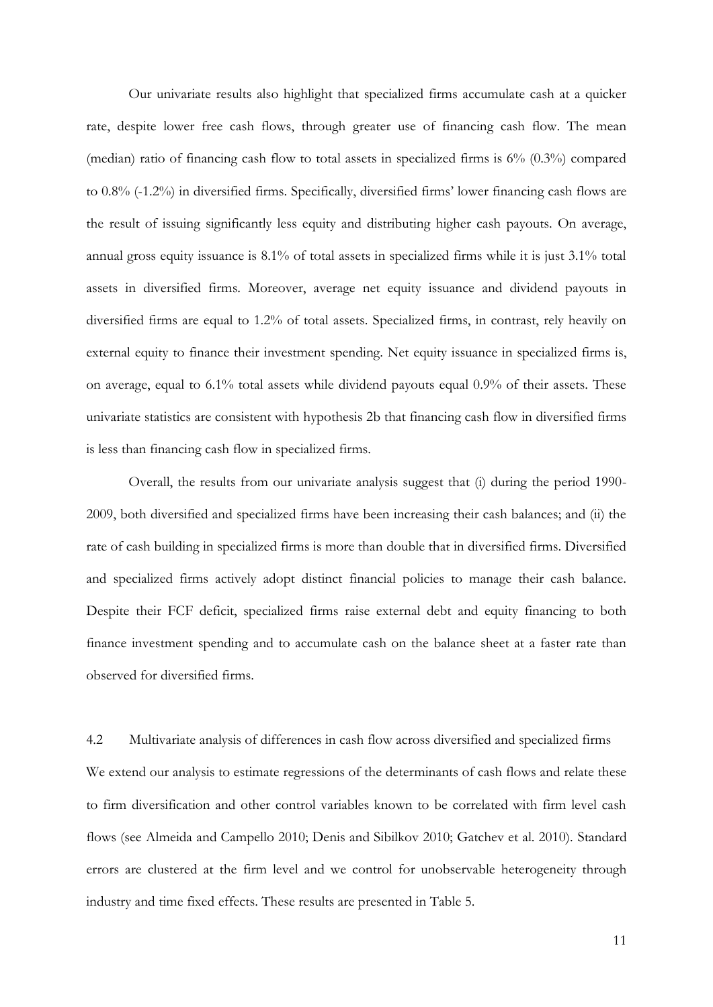Our univariate results also highlight that specialized firms accumulate cash at a quicker rate, despite lower free cash flows, through greater use of financing cash flow. The mean (median) ratio of financing cash flow to total assets in specialized firms is 6% (0.3%) compared to 0.8% (-1.2%) in diversified firms. Specifically, diversified firms' lower financing cash flows are the result of issuing significantly less equity and distributing higher cash payouts. On average, annual gross equity issuance is 8.1% of total assets in specialized firms while it is just 3.1% total assets in diversified firms. Moreover, average net equity issuance and dividend payouts in diversified firms are equal to 1.2% of total assets. Specialized firms, in contrast, rely heavily on external equity to finance their investment spending. Net equity issuance in specialized firms is, on average, equal to 6.1% total assets while dividend payouts equal 0.9% of their assets. These univariate statistics are consistent with hypothesis 2b that financing cash flow in diversified firms is less than financing cash flow in specialized firms.

Overall, the results from our univariate analysis suggest that (i) during the period 1990- 2009, both diversified and specialized firms have been increasing their cash balances; and (ii) the rate of cash building in specialized firms is more than double that in diversified firms. Diversified and specialized firms actively adopt distinct financial policies to manage their cash balance. Despite their FCF deficit, specialized firms raise external debt and equity financing to both finance investment spending and to accumulate cash on the balance sheet at a faster rate than observed for diversified firms.

4.2 Multivariate analysis of differences in cash flow across diversified and specialized firms We extend our analysis to estimate regressions of the determinants of cash flows and relate these to firm diversification and other control variables known to be correlated with firm level cash flows (see Almeida and Campello 2010; Denis and Sibilkov 2010; Gatchev et al. 2010). Standard errors are clustered at the firm level and we control for unobservable heterogeneity through industry and time fixed effects. These results are presented in Table 5.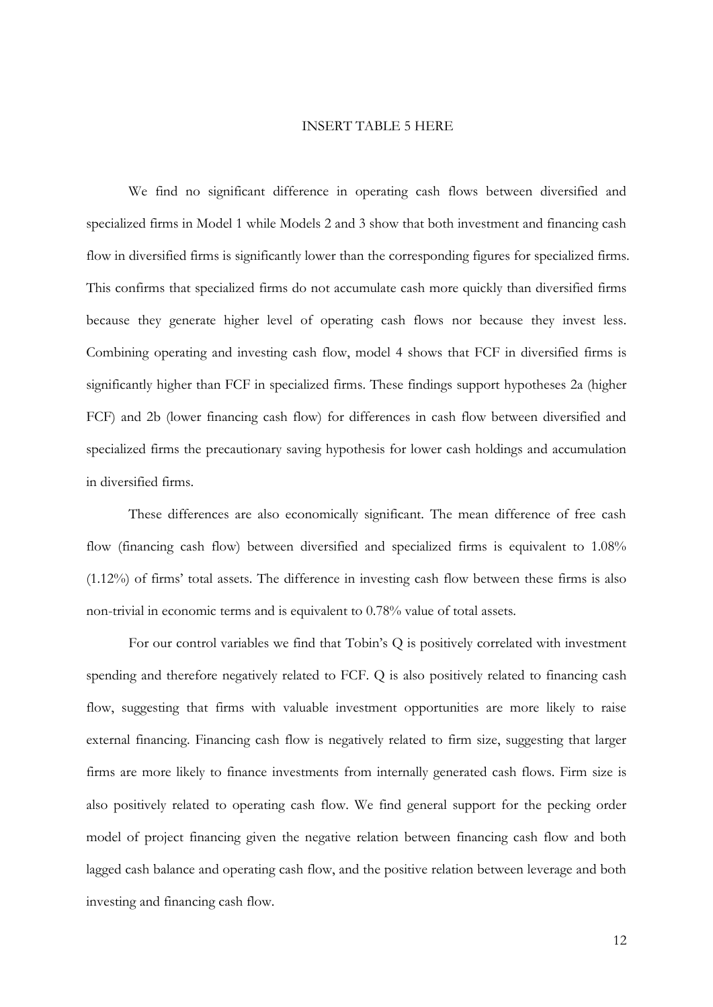#### INSERT TABLE 5 HERE

We find no significant difference in operating cash flows between diversified and specialized firms in Model 1 while Models 2 and 3 show that both investment and financing cash flow in diversified firms is significantly lower than the corresponding figures for specialized firms. This confirms that specialized firms do not accumulate cash more quickly than diversified firms because they generate higher level of operating cash flows nor because they invest less. Combining operating and investing cash flow, model 4 shows that FCF in diversified firms is significantly higher than FCF in specialized firms. These findings support hypotheses 2a (higher FCF) and 2b (lower financing cash flow) for differences in cash flow between diversified and specialized firms the precautionary saving hypothesis for lower cash holdings and accumulation in diversified firms.

These differences are also economically significant. The mean difference of free cash flow (financing cash flow) between diversified and specialized firms is equivalent to 1.08% (1.12%) of firms' total assets. The difference in investing cash flow between these firms is also non-trivial in economic terms and is equivalent to 0.78% value of total assets.

For our control variables we find that Tobin's Q is positively correlated with investment spending and therefore negatively related to FCF. Q is also positively related to financing cash flow, suggesting that firms with valuable investment opportunities are more likely to raise external financing. Financing cash flow is negatively related to firm size, suggesting that larger firms are more likely to finance investments from internally generated cash flows. Firm size is also positively related to operating cash flow. We find general support for the pecking order model of project financing given the negative relation between financing cash flow and both lagged cash balance and operating cash flow, and the positive relation between leverage and both investing and financing cash flow.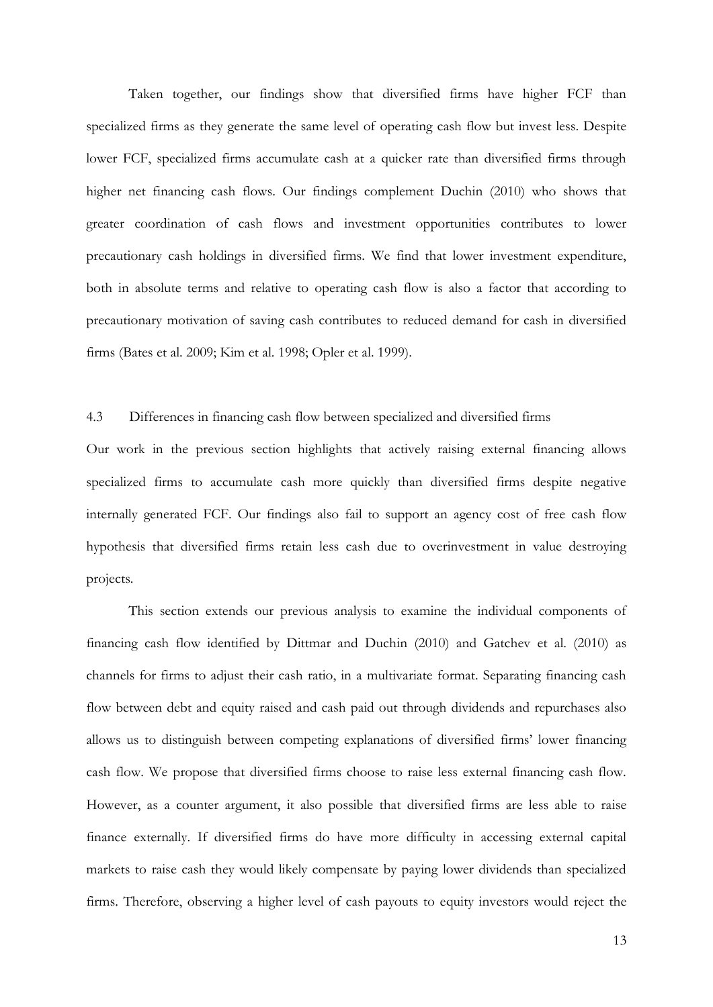Taken together, our findings show that diversified firms have higher FCF than specialized firms as they generate the same level of operating cash flow but invest less. Despite lower FCF, specialized firms accumulate cash at a quicker rate than diversified firms through higher net financing cash flows. Our findings complement Duchin (2010) who shows that greater coordination of cash flows and investment opportunities contributes to lower precautionary cash holdings in diversified firms. We find that lower investment expenditure, both in absolute terms and relative to operating cash flow is also a factor that according to precautionary motivation of saving cash contributes to reduced demand for cash in diversified firms (Bates et al. 2009; Kim et al. 1998; Opler et al. 1999).

# 4.3 Differences in financing cash flow between specialized and diversified firms

Our work in the previous section highlights that actively raising external financing allows specialized firms to accumulate cash more quickly than diversified firms despite negative internally generated FCF. Our findings also fail to support an agency cost of free cash flow hypothesis that diversified firms retain less cash due to overinvestment in value destroying projects.

This section extends our previous analysis to examine the individual components of financing cash flow identified by Dittmar and Duchin (2010) and Gatchev et al. (2010) as channels for firms to adjust their cash ratio, in a multivariate format. Separating financing cash flow between debt and equity raised and cash paid out through dividends and repurchases also allows us to distinguish between competing explanations of diversified firms' lower financing cash flow. We propose that diversified firms choose to raise less external financing cash flow. However, as a counter argument, it also possible that diversified firms are less able to raise finance externally. If diversified firms do have more difficulty in accessing external capital markets to raise cash they would likely compensate by paying lower dividends than specialized firms. Therefore, observing a higher level of cash payouts to equity investors would reject the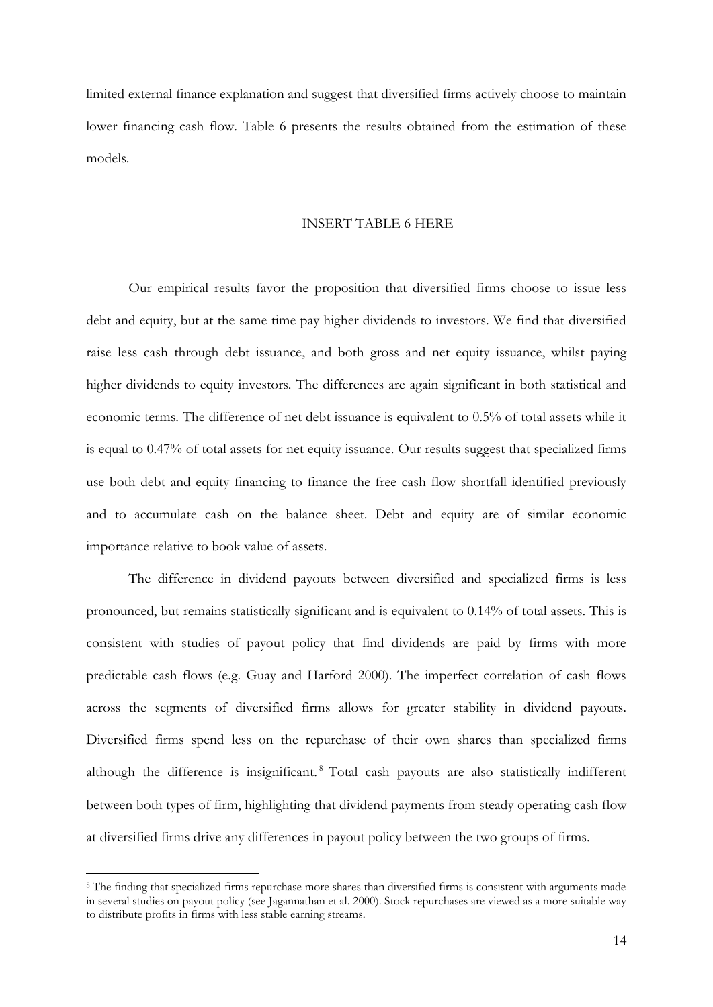limited external finance explanation and suggest that diversified firms actively choose to maintain lower financing cash flow. Table 6 presents the results obtained from the estimation of these models.

#### INSERT TABLE 6 HERE

Our empirical results favor the proposition that diversified firms choose to issue less debt and equity, but at the same time pay higher dividends to investors. We find that diversified raise less cash through debt issuance, and both gross and net equity issuance, whilst paying higher dividends to equity investors. The differences are again significant in both statistical and economic terms. The difference of net debt issuance is equivalent to 0.5% of total assets while it is equal to 0.47% of total assets for net equity issuance. Our results suggest that specialized firms use both debt and equity financing to finance the free cash flow shortfall identified previously and to accumulate cash on the balance sheet. Debt and equity are of similar economic importance relative to book value of assets.

The difference in dividend payouts between diversified and specialized firms is less pronounced, but remains statistically significant and is equivalent to 0.14% of total assets. This is consistent with studies of payout policy that find dividends are paid by firms with more predictable cash flows (e.g. Guay and Harford 2000). The imperfect correlation of cash flows across the segments of diversified firms allows for greater stability in dividend payouts. Diversified firms spend less on the repurchase of their own shares than specialized firms although the difference is insignificant.<sup>8</sup> Total cash payouts are also statistically indifferent between both types of firm, highlighting that dividend payments from steady operating cash flow at diversified firms drive any differences in payout policy between the two groups of firms.

-

<sup>8</sup> The finding that specialized firms repurchase more shares than diversified firms is consistent with arguments made in several studies on payout policy (see Jagannathan et al. 2000). Stock repurchases are viewed as a more suitable way to distribute profits in firms with less stable earning streams.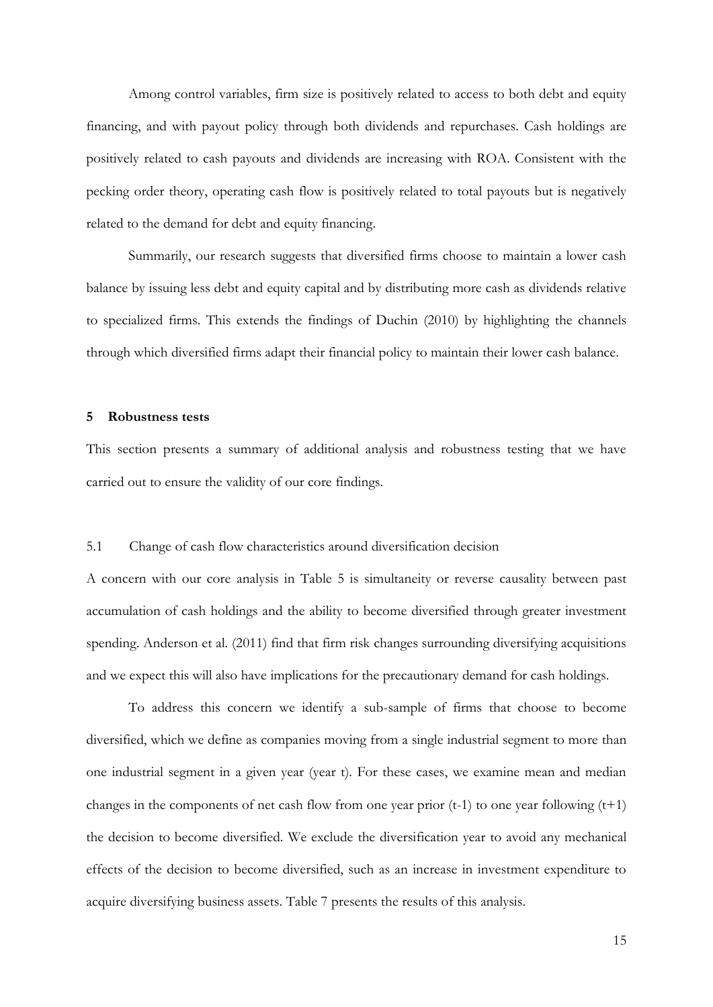Among control variables, firm size is positively related to access to both debt and equity financing, and with payout policy through both dividends and repurchases. Cash holdings are positively related to cash payouts and dividends are increasing with ROA. Consistent with the pecking order theory, operating cash flow is positively related to total payouts but is negatively related to the demand for debt and equity financing.

Summarily, our research suggests that diversified firms choose to maintain a lower cash balance by issuing less debt and equity capital and by distributing more cash as dividends relative to specialized firms. This extends the findings of Duchin (2010) by highlighting the channels through which diversified firms adapt their financial policy to maintain their lower cash balance.

#### **5 Robustness tests**

This section presents a summary of additional analysis and robustness testing that we have carried out to ensure the validity of our core findings.

#### 5.1 Change of cash flow characteristics around diversification decision

A concern with our core analysis in Table 5 is simultaneity or reverse causality between past accumulation of cash holdings and the ability to become diversified through greater investment spending. Anderson et al. (2011) find that firm risk changes surrounding diversifying acquisitions and we expect this will also have implications for the precautionary demand for cash holdings.

To address this concern we identify a sub-sample of firms that choose to become diversified, which we define as companies moving from a single industrial segment to more than one industrial segment in a given year (year t). For these cases, we examine mean and median changes in the components of net cash flow from one year prior  $(t-1)$  to one year following  $(t+1)$ the decision to become diversified. We exclude the diversification year to avoid any mechanical effects of the decision to become diversified, such as an increase in investment expenditure to acquire diversifying business assets. Table 7 presents the results of this analysis.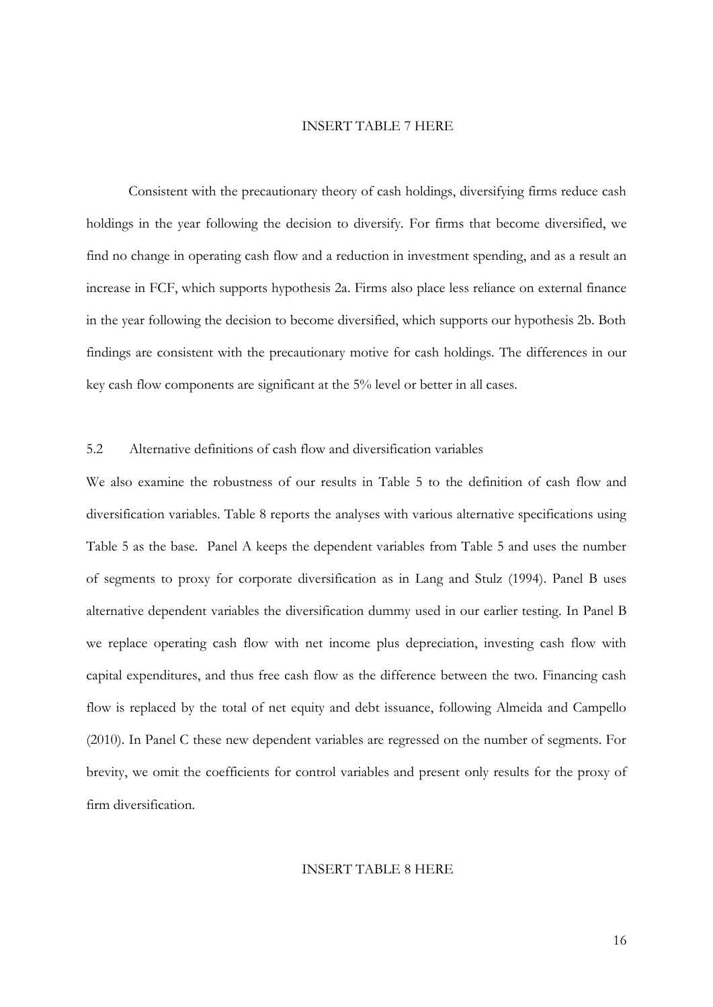#### INSERT TABLE 7 HERE

Consistent with the precautionary theory of cash holdings, diversifying firms reduce cash holdings in the year following the decision to diversify. For firms that become diversified, we find no change in operating cash flow and a reduction in investment spending, and as a result an increase in FCF, which supports hypothesis 2a. Firms also place less reliance on external finance in the year following the decision to become diversified, which supports our hypothesis 2b. Both findings are consistent with the precautionary motive for cash holdings. The differences in our key cash flow components are significant at the 5% level or better in all cases.

## 5.2 Alternative definitions of cash flow and diversification variables

We also examine the robustness of our results in Table 5 to the definition of cash flow and diversification variables. Table 8 reports the analyses with various alternative specifications using Table 5 as the base. Panel A keeps the dependent variables from Table 5 and uses the number of segments to proxy for corporate diversification as in Lang and Stulz (1994). Panel B uses alternative dependent variables the diversification dummy used in our earlier testing. In Panel B we replace operating cash flow with net income plus depreciation, investing cash flow with capital expenditures, and thus free cash flow as the difference between the two. Financing cash flow is replaced by the total of net equity and debt issuance, following Almeida and Campello (2010). In Panel C these new dependent variables are regressed on the number of segments. For brevity, we omit the coefficients for control variables and present only results for the proxy of firm diversification.

#### INSERT TABLE 8 HERE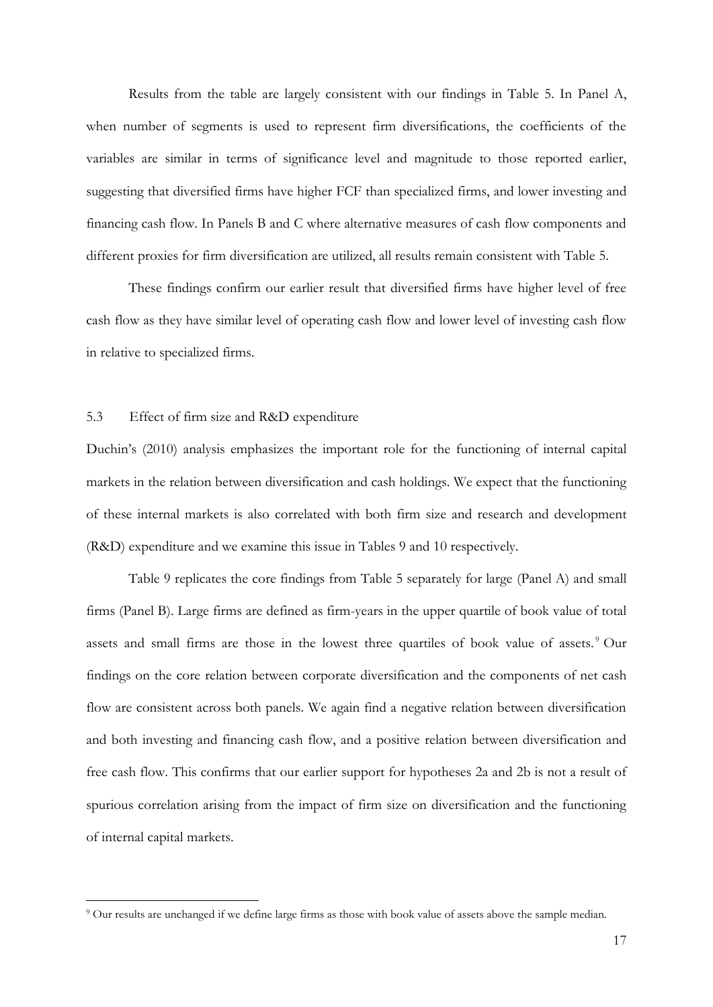Results from the table are largely consistent with our findings in Table 5. In Panel A, when number of segments is used to represent firm diversifications, the coefficients of the variables are similar in terms of significance level and magnitude to those reported earlier, suggesting that diversified firms have higher FCF than specialized firms, and lower investing and financing cash flow. In Panels B and C where alternative measures of cash flow components and different proxies for firm diversification are utilized, all results remain consistent with Table 5.

These findings confirm our earlier result that diversified firms have higher level of free cash flow as they have similar level of operating cash flow and lower level of investing cash flow in relative to specialized firms.

# 5.3 Effect of firm size and R&D expenditure

-

Duchin's (2010) analysis emphasizes the important role for the functioning of internal capital markets in the relation between diversification and cash holdings. We expect that the functioning of these internal markets is also correlated with both firm size and research and development (R&D) expenditure and we examine this issue in Tables 9 and 10 respectively.

Table 9 replicates the core findings from Table 5 separately for large (Panel A) and small firms (Panel B). Large firms are defined as firm-years in the upper quartile of book value of total assets and small firms are those in the lowest three quartiles of book value of assets.<sup>9</sup> Our findings on the core relation between corporate diversification and the components of net cash flow are consistent across both panels. We again find a negative relation between diversification and both investing and financing cash flow, and a positive relation between diversification and free cash flow. This confirms that our earlier support for hypotheses 2a and 2b is not a result of spurious correlation arising from the impact of firm size on diversification and the functioning of internal capital markets.

<sup>&</sup>lt;sup>9</sup> Our results are unchanged if we define large firms as those with book value of assets above the sample median.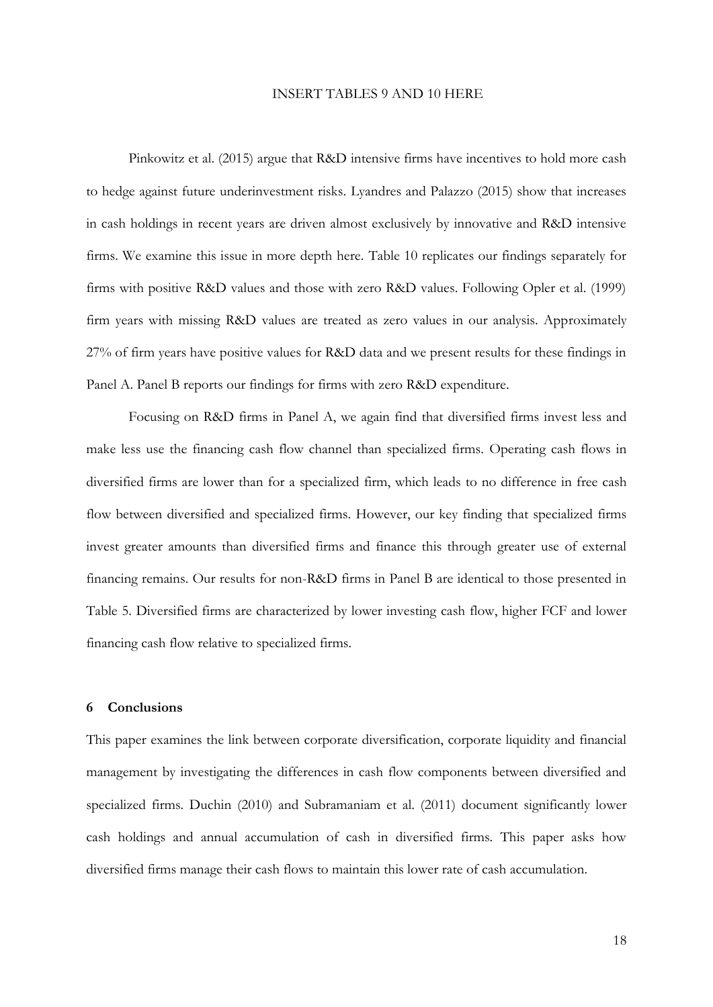#### INSERT TABLES 9 AND 10 HERE

Pinkowitz et al. (2015) argue that R&D intensive firms have incentives to hold more cash to hedge against future underinvestment risks. Lyandres and Palazzo (2015) show that increases in cash holdings in recent years are driven almost exclusively by innovative and R&D intensive firms. We examine this issue in more depth here. Table 10 replicates our findings separately for firms with positive R&D values and those with zero R&D values. Following Opler et al. (1999) firm years with missing R&D values are treated as zero values in our analysis. Approximately 27% of firm years have positive values for R&D data and we present results for these findings in Panel A. Panel B reports our findings for firms with zero R&D expenditure.

Focusing on R&D firms in Panel A, we again find that diversified firms invest less and make less use the financing cash flow channel than specialized firms. Operating cash flows in diversified firms are lower than for a specialized firm, which leads to no difference in free cash flow between diversified and specialized firms. However, our key finding that specialized firms invest greater amounts than diversified firms and finance this through greater use of external financing remains. Our results for non-R&D firms in Panel B are identical to those presented in Table 5. Diversified firms are characterized by lower investing cash flow, higher FCF and lower financing cash flow relative to specialized firms.

#### **6 Conclusions**

This paper examines the link between corporate diversification, corporate liquidity and financial management by investigating the differences in cash flow components between diversified and specialized firms. Duchin (2010) and Subramaniam et al. (2011) document significantly lower cash holdings and annual accumulation of cash in diversified firms. This paper asks how diversified firms manage their cash flows to maintain this lower rate of cash accumulation.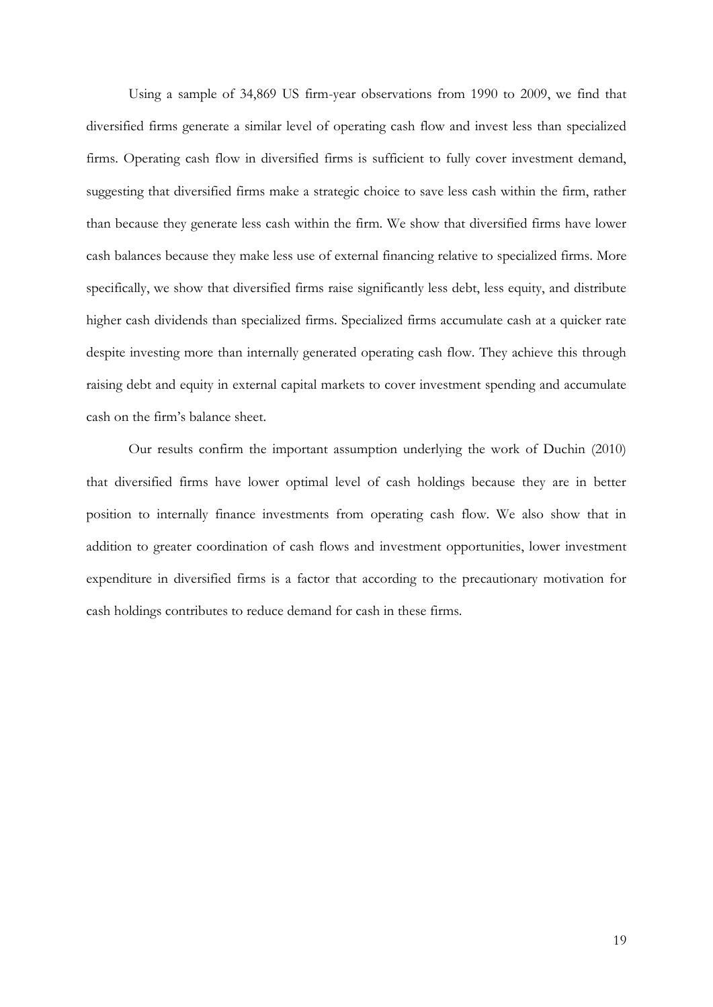Using a sample of 34,869 US firm-year observations from 1990 to 2009, we find that diversified firms generate a similar level of operating cash flow and invest less than specialized firms. Operating cash flow in diversified firms is sufficient to fully cover investment demand, suggesting that diversified firms make a strategic choice to save less cash within the firm, rather than because they generate less cash within the firm. We show that diversified firms have lower cash balances because they make less use of external financing relative to specialized firms. More specifically, we show that diversified firms raise significantly less debt, less equity, and distribute higher cash dividends than specialized firms. Specialized firms accumulate cash at a quicker rate despite investing more than internally generated operating cash flow. They achieve this through raising debt and equity in external capital markets to cover investment spending and accumulate cash on the firm's balance sheet.

Our results confirm the important assumption underlying the work of Duchin (2010) that diversified firms have lower optimal level of cash holdings because they are in better position to internally finance investments from operating cash flow. We also show that in addition to greater coordination of cash flows and investment opportunities, lower investment expenditure in diversified firms is a factor that according to the precautionary motivation for cash holdings contributes to reduce demand for cash in these firms.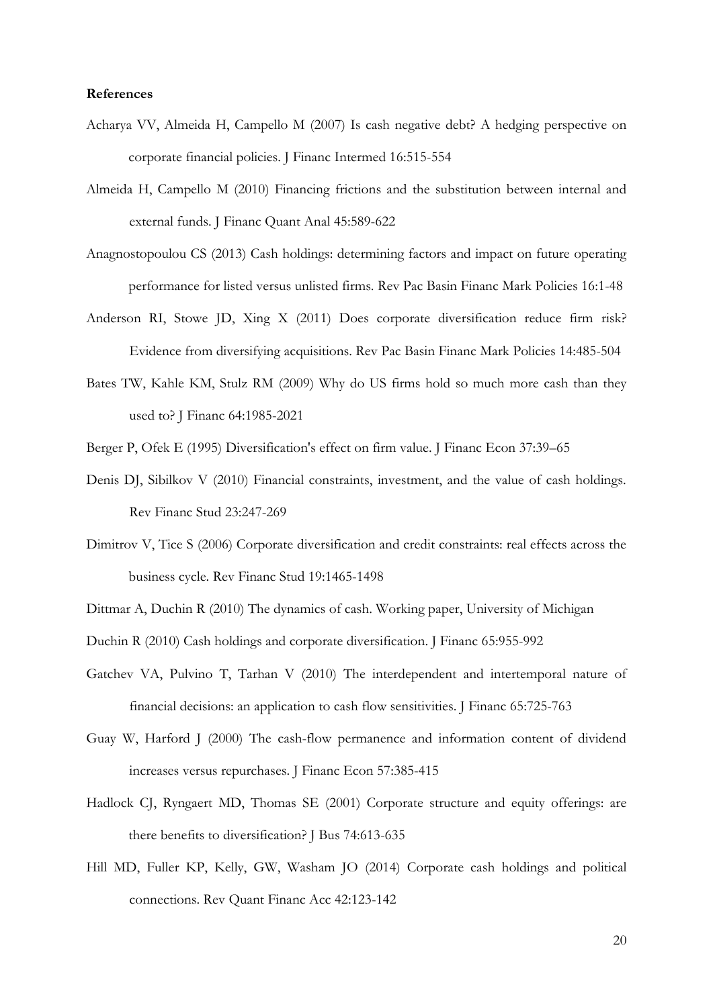#### **References**

- Acharya VV, Almeida H, Campello M (2007) Is cash negative debt? A hedging perspective on corporate financial policies. J Financ Intermed 16:515-554
- Almeida H, Campello M (2010) Financing frictions and the substitution between internal and external funds. J Financ Quant Anal 45:589-622
- Anagnostopoulou CS (2013) Cash holdings: determining factors and impact on future operating performance for listed versus unlisted firms. Rev Pac Basin Financ Mark Policies 16:1-48
- Anderson RI, Stowe JD, Xing X (2011) Does corporate diversification reduce firm risk? Evidence from diversifying acquisitions. Rev Pac Basin Financ Mark Policies 14:485-504
- Bates TW, Kahle KM, Stulz RM (2009) Why do US firms hold so much more cash than they used to? J Financ 64:1985-2021
- Berger P, Ofek E (1995) Diversification's effect on firm value. J Financ Econ 37:39–65
- Denis DJ, Sibilkov V (2010) Financial constraints, investment, and the value of cash holdings. Rev Financ Stud 23:247-269
- Dimitrov V, Tice S (2006) Corporate diversification and credit constraints: real effects across the business cycle. Rev Financ Stud 19:1465-1498
- Dittmar A, Duchin R (2010) The dynamics of cash. Working paper, University of Michigan
- Duchin R (2010) Cash holdings and corporate diversification. J Financ 65:955-992
- Gatchev VA, Pulvino T, Tarhan V (2010) The interdependent and intertemporal nature of financial decisions: an application to cash flow sensitivities. J Financ 65:725-763
- Guay W, Harford J (2000) The cash-flow permanence and information content of dividend increases versus repurchases. J Financ Econ 57:385-415
- Hadlock CJ, Ryngaert MD, Thomas SE (2001) Corporate structure and equity offerings: are there benefits to diversification? J Bus 74:613-635
- Hill MD, Fuller KP, Kelly, GW, Washam JO (2014) Corporate cash holdings and political connections. Rev Quant Financ Acc 42:123-142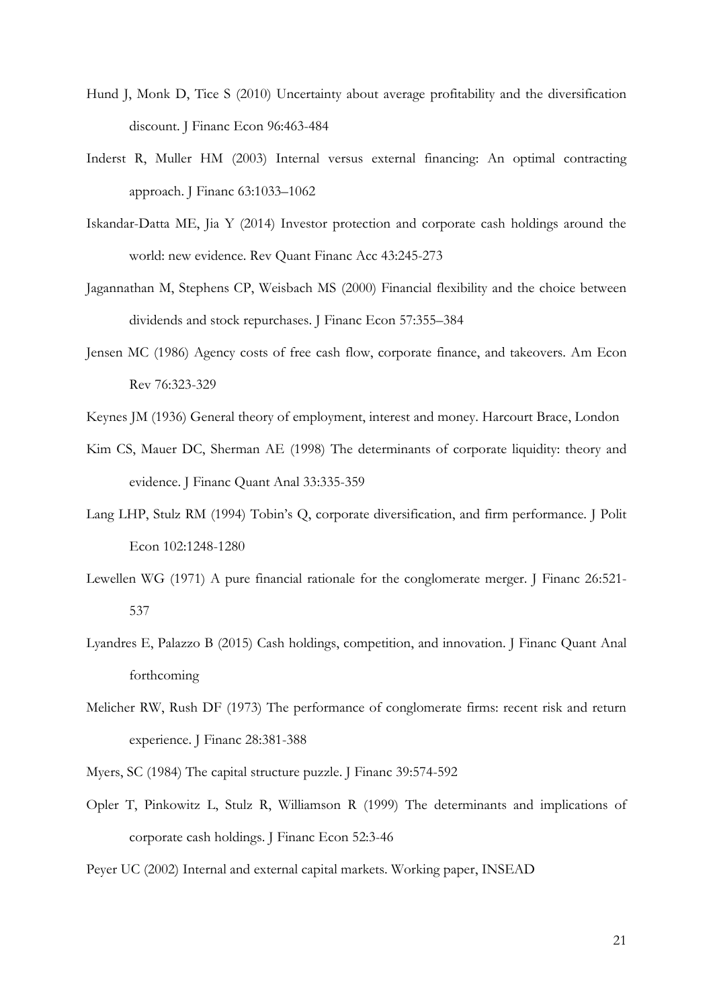- Hund J, Monk D, Tice S (2010) Uncertainty about average profitability and the diversification discount. J Financ Econ 96:463-484
- Inderst R, Muller HM (2003) Internal versus external financing: An optimal contracting approach. J Financ 63:1033–1062
- Iskandar-Datta ME, Jia Y (2014) Investor protection and corporate cash holdings around the world: new evidence. Rev Quant Financ Acc 43:245-273
- Jagannathan M, Stephens CP, Weisbach MS (2000) Financial flexibility and the choice between dividends and stock repurchases. J Financ Econ 57:355–384
- Jensen MC (1986) Agency costs of free cash flow, corporate finance, and takeovers. Am Econ Rev 76:323-329
- Keynes JM (1936) General theory of employment, interest and money. Harcourt Brace, London
- Kim CS, Mauer DC, Sherman AE (1998) The determinants of corporate liquidity: theory and evidence. J Financ Quant Anal 33:335-359
- Lang LHP, Stulz RM (1994) Tobin's Q, corporate diversification, and firm performance. J Polit Econ 102:1248-1280
- Lewellen WG (1971) A pure financial rationale for the conglomerate merger. J Financ 26:521- 537
- Lyandres E, Palazzo B (2015) Cash holdings, competition, and innovation. J Financ Quant Anal forthcoming
- Melicher RW, Rush DF (1973) The performance of conglomerate firms: recent risk and return experience. J Financ 28:381-388
- Myers, SC (1984) The capital structure puzzle. J Financ 39:574-592
- Opler T, Pinkowitz L, Stulz R, Williamson R (1999) The determinants and implications of corporate cash holdings. J Financ Econ 52:3-46
- Peyer UC (2002) Internal and external capital markets. Working paper, INSEAD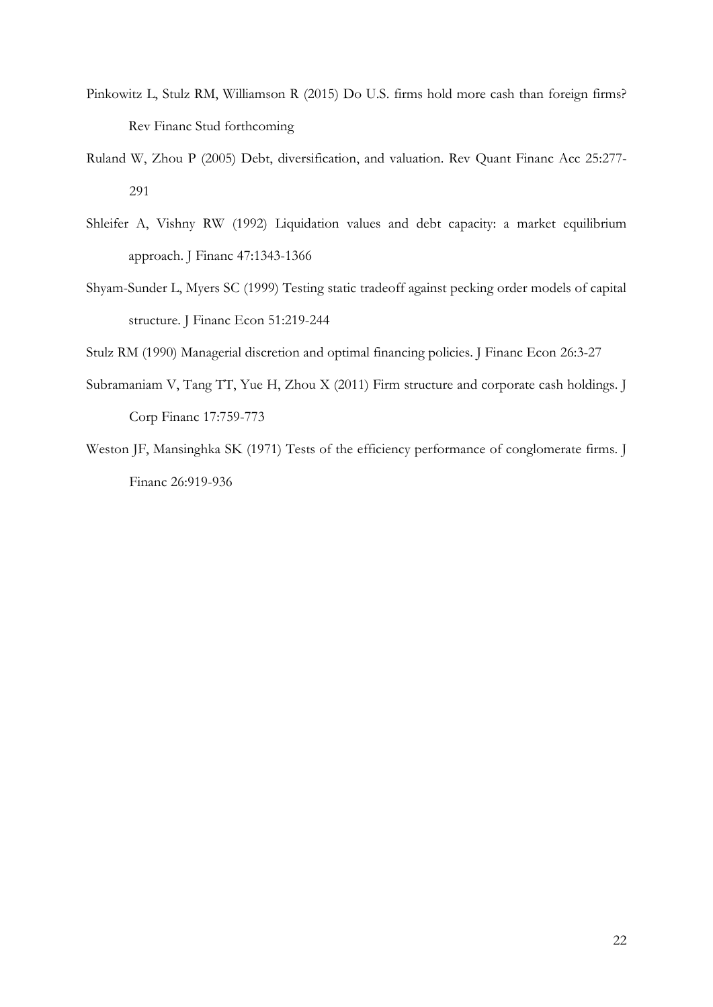- Pinkowitz L, Stulz RM, Williamson R (2015) Do U.S. firms hold more cash than foreign firms? Rev Financ Stud forthcoming
- Ruland W, Zhou P (2005) Debt, diversification, and valuation. Rev Quant Financ Acc 25:277- 291
- Shleifer A, Vishny RW (1992) Liquidation values and debt capacity: a market equilibrium approach. J Financ 47:1343-1366
- Shyam-Sunder L, Myers SC (1999) Testing static tradeoff against pecking order models of capital structure. J Financ Econ 51:219-244

Stulz RM (1990) Managerial discretion and optimal financing policies. J Financ Econ 26:3-27

- Subramaniam V, Tang TT, Yue H, Zhou X (2011) Firm structure and corporate cash holdings. J Corp Financ 17:759-773
- Weston JF, Mansinghka SK (1971) Tests of the efficiency performance of conglomerate firms. J Financ 26:919-936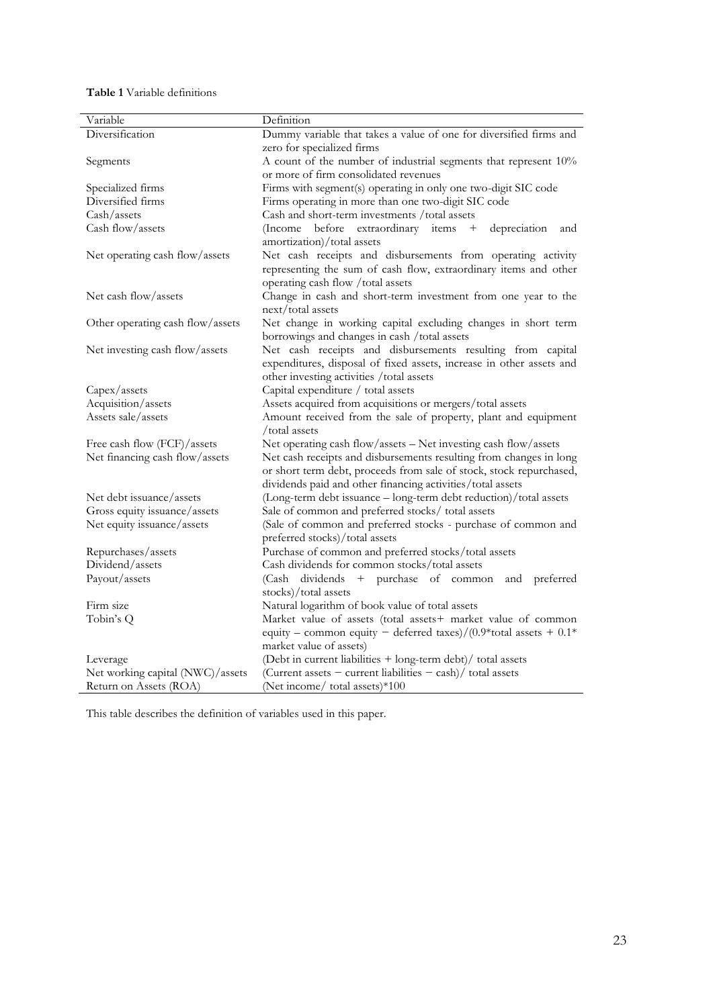## **Table 1** Variable definitions

| Variable                         | Definition                                                                                                                        |
|----------------------------------|-----------------------------------------------------------------------------------------------------------------------------------|
| Diversification                  | Dummy variable that takes a value of one for diversified firms and                                                                |
|                                  | zero for specialized firms                                                                                                        |
| Segments                         | A count of the number of industrial segments that represent 10%                                                                   |
|                                  | or more of firm consolidated revenues                                                                                             |
| Specialized firms                | Firms with segment(s) operating in only one two-digit SIC code                                                                    |
| Diversified firms                | Firms operating in more than one two-digit SIC code                                                                               |
| Cash/assets                      | Cash and short-term investments /total assets                                                                                     |
| Cash flow/assets                 | (Income before extraordinary items<br>$^{+}$<br>depreciation<br>and                                                               |
|                                  | amortization)/total assets                                                                                                        |
| Net operating cash flow/assets   | Net cash receipts and disbursements from operating activity                                                                       |
|                                  | representing the sum of cash flow, extraordinary items and other                                                                  |
|                                  | operating cash flow /total assets                                                                                                 |
| Net cash flow/assets             | Change in cash and short-term investment from one year to the                                                                     |
|                                  | next/total assets                                                                                                                 |
| Other operating cash flow/assets | Net change in working capital excluding changes in short term                                                                     |
|                                  | borrowings and changes in cash /total assets                                                                                      |
| Net investing cash flow/assets   | Net cash receipts and disbursements resulting from capital                                                                        |
|                                  | expenditures, disposal of fixed assets, increase in other assets and                                                              |
|                                  | other investing activities / total assets                                                                                         |
| Capex/assets                     | Capital expenditure / total assets                                                                                                |
| Acquisition/assets               | Assets acquired from acquisitions or mergers/total assets                                                                         |
| Assets sale/assets               | Amount received from the sale of property, plant and equipment                                                                    |
|                                  | /total assets                                                                                                                     |
| Free cash flow (FCF)/assets      | Net operating cash flow/assets - Net investing cash flow/assets                                                                   |
| Net financing cash flow/assets   | Net cash receipts and disbursements resulting from changes in long                                                                |
|                                  | or short term debt, proceeds from sale of stock, stock repurchased,<br>dividends paid and other financing activities/total assets |
| Net debt issuance/assets         | (Long-term debt issuance – long-term debt reduction)/total assets                                                                 |
| Gross equity issuance/assets     | Sale of common and preferred stocks/ total assets                                                                                 |
| Net equity issuance/assets       | (Sale of common and preferred stocks - purchase of common and                                                                     |
|                                  | preferred stocks)/total assets                                                                                                    |
| Repurchases/assets               | Purchase of common and preferred stocks/total assets                                                                              |
| Dividend/assets                  | Cash dividends for common stocks/total assets                                                                                     |
| Payout/assets                    | (Cash dividends + purchase of common<br>and preferred                                                                             |
|                                  | stocks)/total assets                                                                                                              |
| Firm size                        | Natural logarithm of book value of total assets                                                                                   |
| Tobin's Q                        | Market value of assets (total assets+ market value of common                                                                      |
|                                  | equity – common equity – deferred taxes)/(0.9*total assets + $0.1*$                                                               |
|                                  | market value of assets)                                                                                                           |
| Leverage                         | (Debt in current liabilities + long-term debt)/ total assets                                                                      |
| Net working capital (NWC)/assets | (Current assets - current liabilities - cash)/ total assets                                                                       |
| Return on Assets (ROA)           | (Net income/ total assets)*100                                                                                                    |

This table describes the definition of variables used in this paper.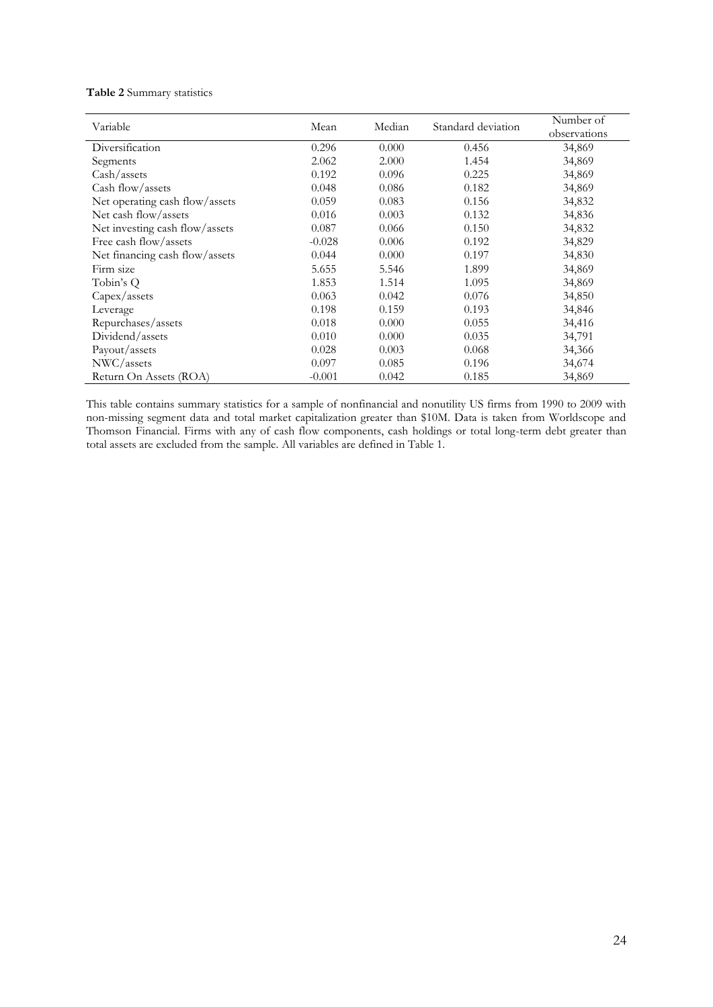#### **Table 2** Summary statistics

| Variable                       | Mean     | Median | Standard deviation | Number of<br>observations |
|--------------------------------|----------|--------|--------------------|---------------------------|
| Diversification                | 0.296    | 0.000  | 0.456              | 34,869                    |
| Segments                       | 2.062    | 2.000  | 1.454              | 34,869                    |
| Cash/assets                    | 0.192    | 0.096  | 0.225              | 34,869                    |
| Cash flow/assets               | 0.048    | 0.086  | 0.182              | 34,869                    |
| Net operating cash flow/assets | 0.059    | 0.083  | 0.156              | 34,832                    |
| Net cash flow/assets           | 0.016    | 0.003  | 0.132              | 34,836                    |
| Net investing cash flow/assets | 0.087    | 0.066  | 0.150              | 34,832                    |
| Free cash flow/assets          | $-0.028$ | 0.006  | 0.192              | 34,829                    |
| Net financing cash flow/assets | 0.044    | 0.000  | 0.197              | 34,830                    |
| Firm size                      | 5.655    | 5.546  | 1.899              | 34,869                    |
| Tobin's Q                      | 1.853    | 1.514  | 1.095              | 34,869                    |
| Capex/assets                   | 0.063    | 0.042  | 0.076              | 34,850                    |
| Leverage                       | 0.198    | 0.159  | 0.193              | 34,846                    |
| Repurchases/assets             | 0.018    | 0.000  | 0.055              | 34,416                    |
| Dividend/assets                | 0.010    | 0.000  | 0.035              | 34,791                    |
| Payout/assets                  | 0.028    | 0.003  | 0.068              | 34,366                    |
| NWC/assets                     | 0.097    | 0.085  | 0.196              | 34,674                    |
| Return On Assets (ROA)         | $-0.001$ | 0.042  | 0.185              | 34,869                    |

This table contains summary statistics for a sample of nonfinancial and nonutility US firms from 1990 to 2009 with non-missing segment data and total market capitalization greater than \$10M. Data is taken from Worldscope and Thomson Financial. Firms with any of cash flow components, cash holdings or total long-term debt greater than total assets are excluded from the sample. All variables are defined in Table 1.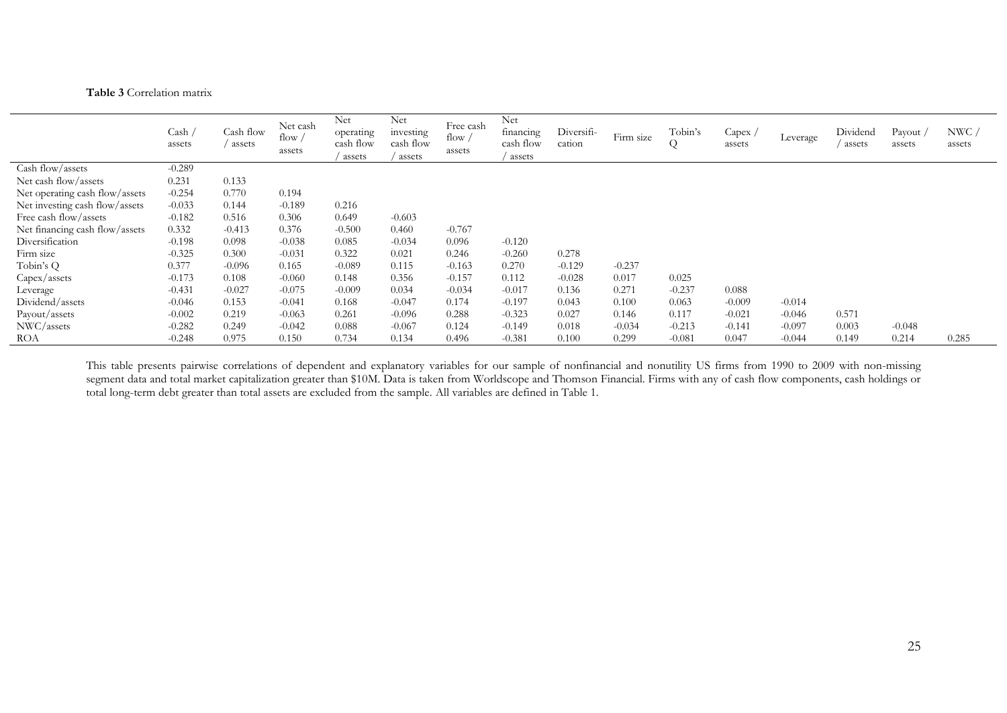#### **Table 3** Correlation matrix

|                                | Cash /<br>assets | Cash flow<br>assets | Net cash<br>flow $/$<br>assets | Net<br>operating<br>cash flow<br>assets | Net<br>investing<br>cash flow<br>assets | Free cash<br>flow $\prime$<br>assets | Net<br>financing<br>cash flow<br>assets | Diversifi-<br>cation | Firm size | Tobin's<br>Q | Capex /<br>assets | Leverage | Dividend<br>assets | Payout,<br>assets | NWC/<br>assets |
|--------------------------------|------------------|---------------------|--------------------------------|-----------------------------------------|-----------------------------------------|--------------------------------------|-----------------------------------------|----------------------|-----------|--------------|-------------------|----------|--------------------|-------------------|----------------|
| Cash flow/assets               | $-0.289$         |                     |                                |                                         |                                         |                                      |                                         |                      |           |              |                   |          |                    |                   |                |
| Net cash flow/assets           | 0.231            | 0.133               |                                |                                         |                                         |                                      |                                         |                      |           |              |                   |          |                    |                   |                |
| Net operating cash flow/assets | $-0.254$         | 0.770               | 0.194                          |                                         |                                         |                                      |                                         |                      |           |              |                   |          |                    |                   |                |
| Net investing cash flow/assets | $-0.033$         | 0.144               | $-0.189$                       | 0.216                                   |                                         |                                      |                                         |                      |           |              |                   |          |                    |                   |                |
| Free cash flow/assets          | $-0.182$         | 0.516               | 0.306                          | 0.649                                   | $-0.603$                                |                                      |                                         |                      |           |              |                   |          |                    |                   |                |
| Net financing cash flow/assets | 0.332            | $-0.413$            | 0.376                          | $-0.500$                                | 0.460                                   | $-0.767$                             |                                         |                      |           |              |                   |          |                    |                   |                |
| Diversification                | $-0.198$         | 0.098               | $-0.038$                       | 0.085                                   | $-0.034$                                | 0.096                                | $-0.120$                                |                      |           |              |                   |          |                    |                   |                |
| Firm size                      | $-0.325$         | 0.300               | $-0.031$                       | 0.322                                   | 0.021                                   | 0.246                                | $-0.260$                                | 0.278                |           |              |                   |          |                    |                   |                |
| Tobin's Q                      | 0.377            | $-0.096$            | 0.165                          | $-0.089$                                | 0.115                                   | $-0.163$                             | 0.270                                   | $-0.129$             | $-0.237$  |              |                   |          |                    |                   |                |
| Capex/assets                   | $-0.173$         | 0.108               | $-0.060$                       | 0.148                                   | 0.356                                   | $-0.157$                             | 0.112                                   | $-0.028$             | 0.017     | 0.025        |                   |          |                    |                   |                |
| Leverage                       | $-0.431$         | $-0.027$            | $-0.075$                       | $-0.009$                                | 0.034                                   | $-0.034$                             | $-0.017$                                | 0.136                | 0.271     | $-0.237$     | 0.088             |          |                    |                   |                |
| Dividend/assets                | $-0.046$         | 0.153               | $-0.041$                       | 0.168                                   | $-0.047$                                | 0.174                                | $-0.197$                                | 0.043                | 0.100     | 0.063        | $-0.009$          | $-0.014$ |                    |                   |                |
| Payout/assets                  | $-0.002$         | 0.219               | $-0.063$                       | 0.261                                   | $-0.096$                                | 0.288                                | $-0.323$                                | 0.027                | 0.146     | 0.117        | $-0.021$          | $-0.046$ | 0.571              |                   |                |
| NWC/assets                     | $-0.282$         | 0.249               | $-0.042$                       | 0.088                                   | $-0.067$                                | 0.124                                | $-0.149$                                | 0.018                | $-0.034$  | $-0.213$     | $-0.141$          | $-0.097$ | 0.003              | $-0.048$          |                |
| <b>ROA</b>                     | $-0.248$         | 0.975               | 0.150                          | 0.734                                   | 0.134                                   | 0.496                                | $-0.381$                                | 0.100                | 0.299     | $-0.081$     | 0.047             | $-0.044$ | 0.149              | 0.214             | 0.285          |

This table presents pairwise correlations of dependent and explanatory variables for our sample of nonfinancial and nonutility US firms from 1990 to 2009 with non-missing segment data and total market capitalization greater than \$10M. Data is taken from Worldscope and Thomson Financial. Firms with any of cash flow components, cash holdings or total long-term debt greater than total assets are excluded from the sample. All variables are defined in Table 1.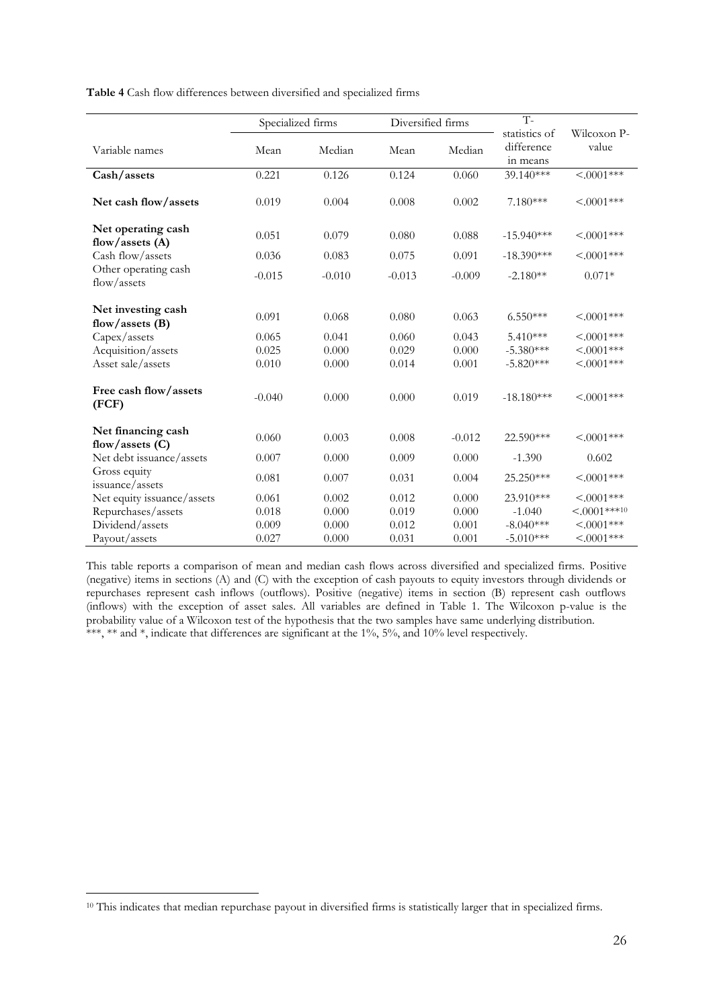**Table 4** Cash flow differences between diversified and specialized firms

|                                         | Specialized firms |          | Diversified firms |          | $T -$                                   |                      |
|-----------------------------------------|-------------------|----------|-------------------|----------|-----------------------------------------|----------------------|
| Variable names                          | Mean              | Median   | Mean              | Median   | statistics of<br>difference<br>in means | Wilcoxon P-<br>value |
| Cash/assets                             | 0.221             | 0.126    | 0.124             | 0.060    | 39.140***                               | $<.0001***$          |
| Net cash flow/assets                    | 0.019             | 0.004    | 0.008             | 0.002    | $7.180***$                              | $< 0001***$          |
| Net operating cash<br>flow/assets $(A)$ | 0.051             | 0.079    | 0.080             | 0.088    | $-15.940***$                            | $<.0001***$          |
| Cash flow/assets                        | 0.036             | 0.083    | 0.075             | 0.091    | $-18.390***$                            | $< 0001***$          |
| Other operating cash<br>flow/assets     | $-0.015$          | $-0.010$ | $-0.013$          | $-0.009$ | $-2.180**$                              | $0.071*$             |
| Net investing cash<br>flow/assets $(B)$ | 0.091             | 0.068    | 0.080             | 0.063    | $6.550***$                              | $< 0001***$          |
| Capex/assets                            | 0.065             | 0.041    | 0.060             | 0.043    | $5.410***$                              | $< 0.001***$         |
| Acquisition/assets                      | 0.025             | 0.000    | 0.029             | 0.000    | $-5.380***$                             | $< .0001$ ***        |
| Asset sale/assets                       | 0.010             | 0.000    | 0.014             | 0.001    | $-5.820***$                             | $< 0001***$          |
| Free cash flow/assets<br>(FCF)          | $-0.040$          | 0.000    | 0.000             | 0.019    | $-18.180***$                            | $< 0001***$          |
| Net financing cash<br>flow/assets $(C)$ | 0.060             | 0.003    | 0.008             | $-0.012$ | 22.590***                               | $< 0001***$          |
| Net debt issuance/assets                | 0.007             | 0.000    | 0.009             | 0.000    | $-1.390$                                | 0.602                |
| Gross equity<br>issuance/assets         | 0.081             | 0.007    | 0.031             | 0.004    | $25.250***$                             | $< 0.001***$         |
| Net equity issuance/assets              | 0.061             | 0.002    | 0.012             | 0.000    | 23.910***                               | $< 0001***$          |
| Repurchases/assets                      | 0.018             | 0.000    | 0.019             | 0.000    | $-1.040$                                | $< .0001$ ***10      |
| Dividend/assets                         | 0.009             | 0.000    | 0.012             | 0.001    | $-8.040***$                             | $< .0001$ ***        |
| Payout/assets                           | 0.027             | 0.000    | 0.031             | 0.001    | $-5.010***$                             | $< .0001$ ***        |

This table reports a comparison of mean and median cash flows across diversified and specialized firms. Positive (negative) items in sections (A) and (C) with the exception of cash payouts to equity investors through dividends or repurchases represent cash inflows (outflows). Positive (negative) items in section (B) represent cash outflows (inflows) with the exception of asset sales. All variables are defined in Table 1. The Wilcoxon p-value is the probability value of a Wilcoxon test of the hypothesis that the two samples have same underlying distribution. \*\*\*, \*\* and \*, indicate that differences are significant at the 1%, 5%, and 10% level respectively.

-

<sup>&</sup>lt;sup>10</sup> This indicates that median repurchase payout in diversified firms is statistically larger that in specialized firms.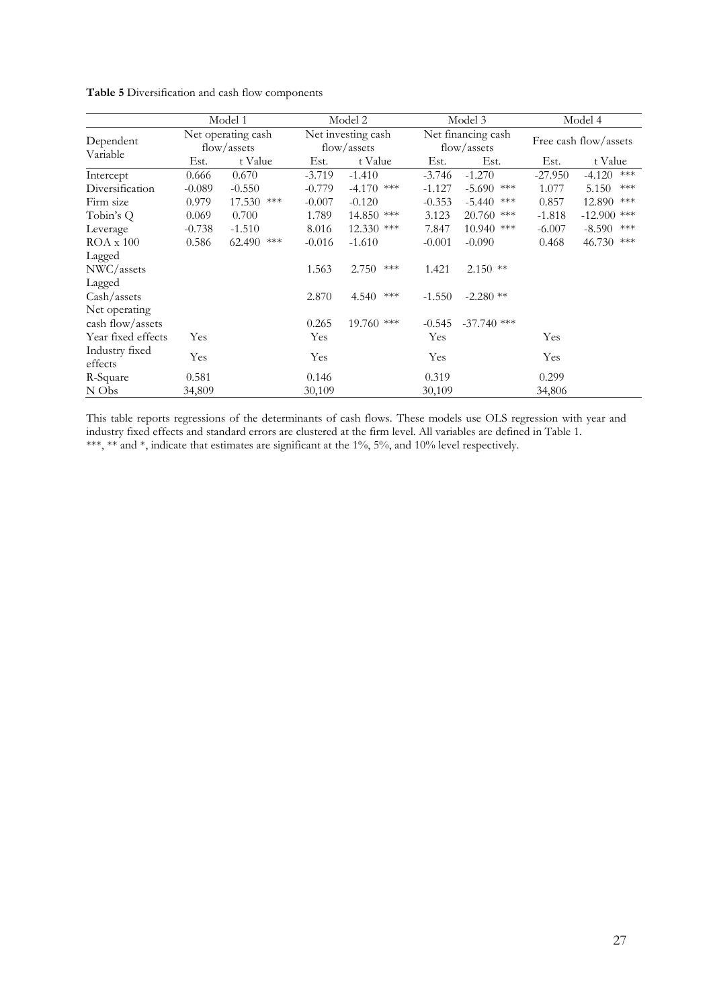|                           |          | Model 1                           |          | Model 2                           |          | Model 3                           |           | Model 4               |
|---------------------------|----------|-----------------------------------|----------|-----------------------------------|----------|-----------------------------------|-----------|-----------------------|
| Dependent<br>Variable     |          | Net operating cash<br>flow/assets |          | Net investing cash<br>flow/assets |          | Net financing cash<br>flow/assets |           | Free cash flow/assets |
|                           | Est.     | t Value                           | Est.     | t Value                           | Est.     | Est.                              | Est.      | t Value               |
| Intercept                 | 0.666    | 0.670                             | $-3.719$ | $-1.410$                          | $-3.746$ | $-1.270$                          | $-27.950$ | $***$<br>$-4.120$     |
| Diversification           | $-0.089$ | $-0.550$                          | $-0.779$ | $-4.170$ ***                      | $-1.127$ | $-5.690$ ***                      | 1.077     | $***$<br>5.150        |
| Firm size                 | 0.979    | $17.530$ ***                      | $-0.007$ | $-0.120$                          | $-0.353$ | $-5.440$<br>***                   | 0.857     | 12.890<br>$***$       |
| Tobin's Q                 | 0.069    | 0.700                             | 1.789    | 14.850 ***                        | 3.123    | 20.760 ***                        | $-1.818$  | $-12.900$ ***         |
| Leverage                  | $-0.738$ | $-1.510$                          | 8.016    | 12.330 ***                        | 7.847    | $10.940$ ***                      | $-6.007$  | $***$<br>$-8.590$     |
| $ROA \times 100$          | 0.586    | 62.490 ***                        | $-0.016$ | $-1.610$                          | $-0.001$ | $-0.090$                          | 0.468     | $***$<br>46.730       |
| Lagged                    |          |                                   |          |                                   |          |                                   |           |                       |
| NWC/assets                |          |                                   | 1.563    | 2.750<br>***                      | 1.421    | $2.150$ **                        |           |                       |
| Lagged                    |          |                                   |          |                                   |          |                                   |           |                       |
| Cash/assets               |          |                                   | 2.870    | 4.540<br>$***$                    | $-1.550$ | $-2.280$ **                       |           |                       |
| Net operating             |          |                                   |          |                                   |          |                                   |           |                       |
| cash flow/assets          |          |                                   | 0.265    | $19.760$ ***                      | $-0.545$ | $-37.740$ ***                     |           |                       |
| Year fixed effects        | Yes      |                                   | Yes      |                                   | Yes      |                                   | Yes       |                       |
| Industry fixed<br>effects | Yes      |                                   | Yes      |                                   | Yes      |                                   | Yes       |                       |
| R-Square                  | 0.581    |                                   | 0.146    |                                   | 0.319    |                                   | 0.299     |                       |
| N Obs                     | 34,809   |                                   | 30,109   |                                   | 30,109   |                                   | 34,806    |                       |

**Table 5** Diversification and cash flow components

This table reports regressions of the determinants of cash flows. These models use OLS regression with year and industry fixed effects and standard errors are clustered at the firm level. All variables are defined in Table 1. \*\*\*, \*\* and \*, indicate that estimates are significant at the 1%, 5%, and 10% level respectively.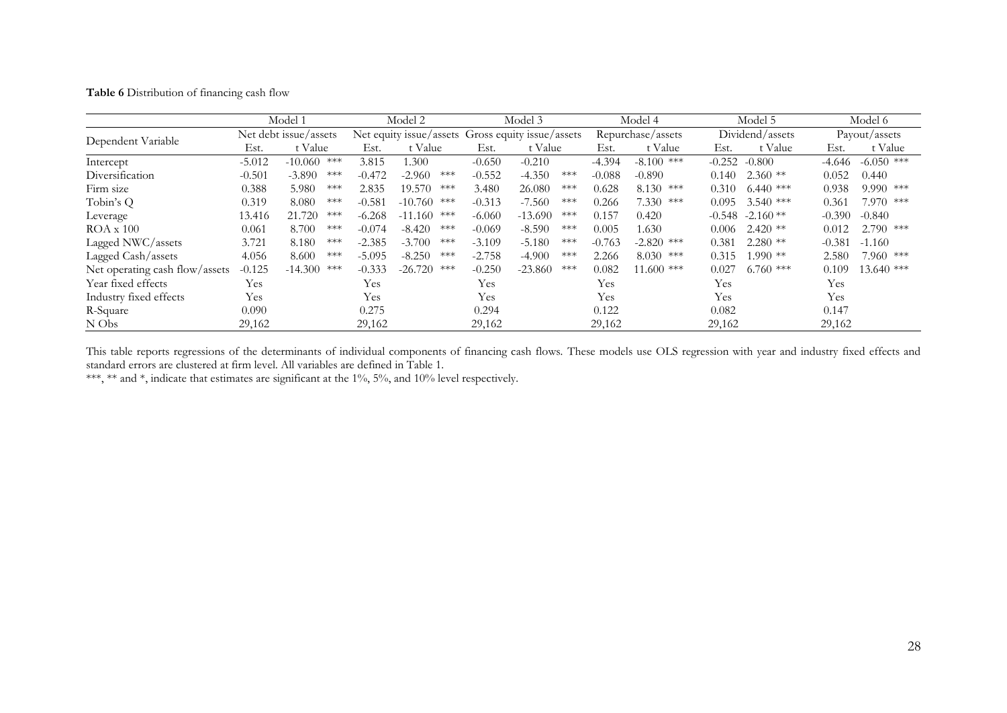|                                |          | Model 1               |          | Model 2         |                                                   | Model 3          |                   | Model 4      |                 | Model 5              |               | Model 6      |
|--------------------------------|----------|-----------------------|----------|-----------------|---------------------------------------------------|------------------|-------------------|--------------|-----------------|----------------------|---------------|--------------|
| Dependent Variable             |          | Net debt issue/assets |          |                 | Net equity issue/assets Gross equity issue/assets |                  | Repurchase/assets |              | Dividend/assets |                      | Payout/assets |              |
|                                | Est.     | t Value               | Est.     | t Value         | Est.                                              | t Value          | Est.              | t Value      | Est.            | t Value              | Est.          | t Value      |
| Intercept                      | $-5.012$ | ***<br>$-10.060$      | 3.815    | 1.300           | $-0.650$                                          | $-0.210$         | $-4.394$          | $-8.100$ *** | $-0.252$        | $-0.800$             | $-4.646$      | $-6.050$ *** |
| Diversification                | $-0.501$ | $-3.890$<br>***       | $-0.472$ | $-2.960$<br>*** | $-0.552$                                          | $-4.350$<br>***  | $-0.088$          | $-0.890$     | 0.140           | $2.360$ **           | 0.052         | 0.440        |
| Firm size                      | 0.388    | 5.980<br>***          | 2.835    | 19.570<br>***   | 3.480                                             | 26.080<br>$***$  | 0.628             | 8.130<br>*** | 0.310           | $6.440$ ***          | 0.938         | 9.990 ***    |
| Tobin's Q                      | 0.319    | ***<br>8.080          | $-0.581$ | $-10.760$ ***   | $-0.313$                                          | $-7.560$<br>***  | 0.266             | 7.330<br>*** | 0.095           | $3.540$ ***          | 0.361         | 7.970 ***    |
| Leverage                       | 13.416   | 21.720<br>***         | $-6.268$ | $-11.160$ ***   | $-6.060$                                          | $-13.690$<br>*** | 0.157             | 0.420        |                 | $-0.548$ $-2.160$ ** | $-0.390$      | $-0.840$     |
| $ROA \times 100$               | 0.061    | 8.700<br>***          | $-0.074$ | $-8.420$<br>*** | $-0.069$                                          | $-8.590$<br>***  | 0.005             | 1.630        | 0.006           | $2.420$ **           | 0.012         | $2.790$ ***  |
| Lagged NWC/assets              | 3.721    | ***<br>8.180          | $-2.385$ | $-3.700$<br>*** | $-3.109$                                          | ***<br>$-5.180$  | $-0.763$          | $-2.820$ *** | 0.381           | $2.280$ **           | $-0.381$      | $-1.160$     |
| Lagged Cash/assets             | 4.056    | ***<br>8.600          | $-5.095$ | $-8.250$<br>*** | $-2.758$                                          | ***<br>$-4.900$  | 2.266             | 8.030<br>*** | 0.315           | $1.990$ **           | 2.580         | $7.960$ ***  |
| Net operating cash flow/assets | $-0.125$ | $-14.300$ ***         | $-0.333$ | $-26.720$ ***   | $-0.250$                                          | $-23.860$<br>*** | 0.082             | $11.600$ *** | 0.027           | $6.760$ ***          | 0.109         | $13.640$ *** |
| Year fixed effects             | Yes      |                       | Yes      |                 | Yes                                               |                  | Yes               |              | Yes             |                      | Yes           |              |
| Industry fixed effects         | Yes      |                       | Yes      |                 | Yes                                               |                  | Yes               |              | Yes             |                      | Yes           |              |
| R-Square                       | 0.090    |                       | 0.275    |                 | 0.294                                             |                  | 0.122             |              | 0.082           |                      | 0.147         |              |
| N Obs                          | 29,162   |                       | 29,162   |                 | 29,162                                            |                  | 29,162            |              | 29,162          |                      | 29,162        |              |

This table reports regressions of the determinants of individual components of financing cash flows. These models use OLS regression with year and industry fixed effects and standard errors are clustered at firm level. All variables are defined in Table 1.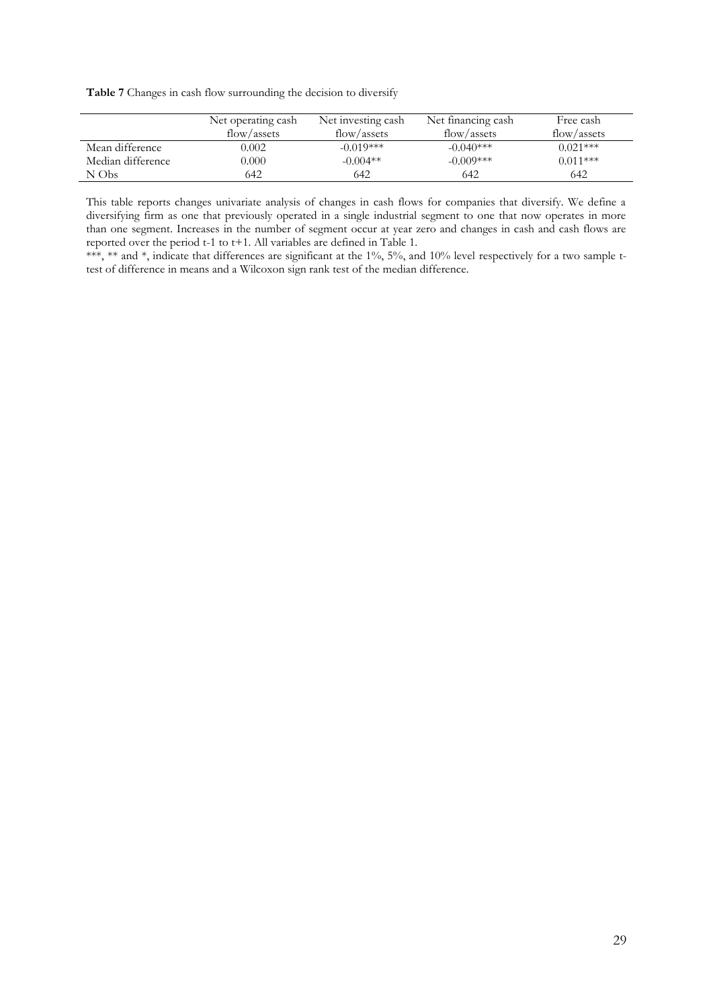**Table 7** Changes in cash flow surrounding the decision to diversify

|                   | Net operating cash<br>flow/assets | Net investing cash<br>flow/assets | Net financing cash<br>flow/assets | Free cash<br>flow/assets |
|-------------------|-----------------------------------|-----------------------------------|-----------------------------------|--------------------------|
| Mean difference   | 0.002                             | $-0.019***$                       | $-0.040***$                       | $0.021***$               |
| Median difference | 0.000                             | $-0.004**$                        | $-0.009$ ***                      | $0.011***$               |
| N Obs             | 642                               | 642                               | 642                               | 642                      |

This table reports changes univariate analysis of changes in cash flows for companies that diversify. We define a diversifying firm as one that previously operated in a single industrial segment to one that now operates in more than one segment. Increases in the number of segment occur at year zero and changes in cash and cash flows are reported over the period t-1 to t+1. All variables are defined in Table 1.

\*\*\*, \*\* and \*, indicate that differences are significant at the 1%, 5%, and 10% level respectively for a two sample ttest of difference in means and a Wilcoxon sign rank test of the median difference.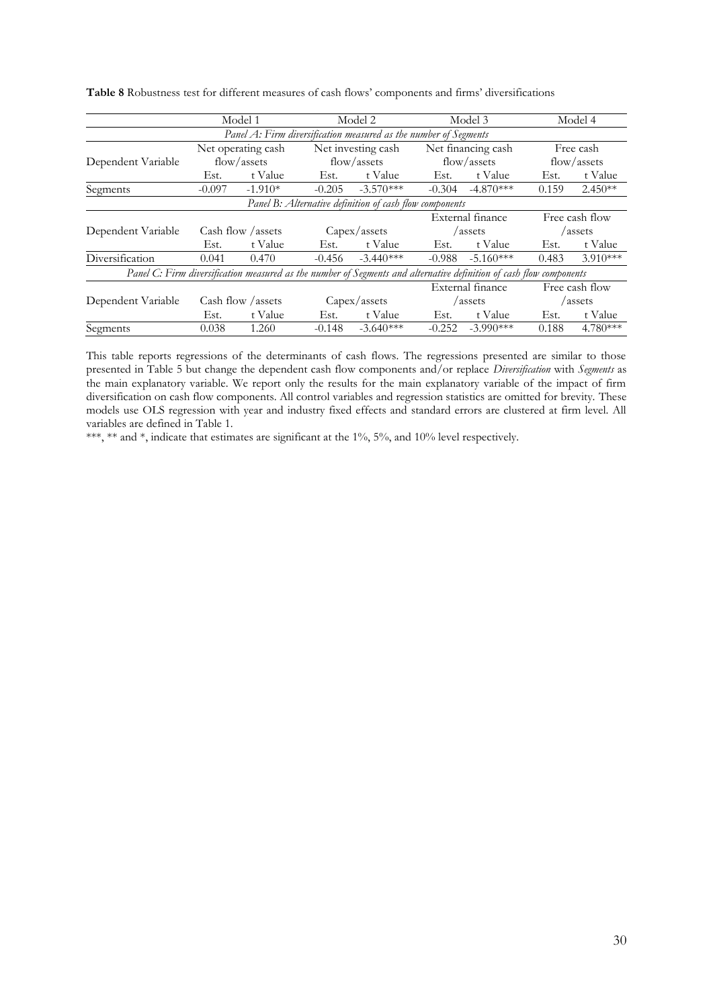|                                                                                                                     |                    | Model 1            |          | Model 2                                                          |          | Model 3            |                | Model 4        |
|---------------------------------------------------------------------------------------------------------------------|--------------------|--------------------|----------|------------------------------------------------------------------|----------|--------------------|----------------|----------------|
|                                                                                                                     |                    |                    |          | Panel A: Firm diversification measured as the number of Segments |          |                    |                |                |
|                                                                                                                     |                    | Net operating cash |          | Net investing cash                                               |          | Net financing cash |                | Free cash      |
| Dependent Variable                                                                                                  |                    | flow/assets        |          | flow/assets                                                      |          | flow/assets        |                | flow/assets    |
|                                                                                                                     | Est.               | t Value            | Est.     | t Value                                                          | Est.     | t Value            | Est.           | t Value        |
| Segments                                                                                                            | $-0.097$           | $-1.910*$          | $-0.205$ | $-3.570***$                                                      | $-0.304$ | $-4.870***$        | 0.159          | $2.450**$      |
|                                                                                                                     |                    |                    |          | Panel B: Alternative definition of cash flow components          |          |                    |                |                |
|                                                                                                                     |                    |                    |          |                                                                  |          | External finance   | Free cash flow |                |
| Dependent Variable                                                                                                  | Cash flow / assets |                    |          | Capex/assets                                                     |          | /assets            | /assets        |                |
|                                                                                                                     | Est.               | t Value            | Est.     | t Value                                                          | Est.     | t Value            | Est.           | t Value        |
| Diversification                                                                                                     | 0.041              | 0.470              | $-0.456$ | $-3.440***$                                                      | $-0.988$ | $-5.160***$        | 0.483          | $3.910***$     |
| Panel C: Firm diversification measured as the number of Segments and alternative definition of cash flow components |                    |                    |          |                                                                  |          |                    |                |                |
|                                                                                                                     |                    |                    |          |                                                                  |          | External finance   |                | Free cash flow |
| Dependent Variable                                                                                                  |                    | Cash flow / assets |          | Capex/assets                                                     |          | /assets            | /assets        |                |
|                                                                                                                     | Est.               | t Value            | Est.     | t Value                                                          | Est.     | t Value            | Est.           | t Value        |
| Segments                                                                                                            | 0.038              | 1.260              | $-0.148$ | $-3.640***$                                                      | $-0.252$ | $-3.990***$        | 0.188          | $4.780***$     |

**Table 8** Robustness test for different measures of cash flows' components and firms' diversifications

This table reports regressions of the determinants of cash flows. The regressions presented are similar to those presented in Table 5 but change the dependent cash flow components and/or replace *Diversification* with *Segments* as the main explanatory variable. We report only the results for the main explanatory variable of the impact of firm diversification on cash flow components. All control variables and regression statistics are omitted for brevity. These models use OLS regression with year and industry fixed effects and standard errors are clustered at firm level. All variables are defined in Table 1.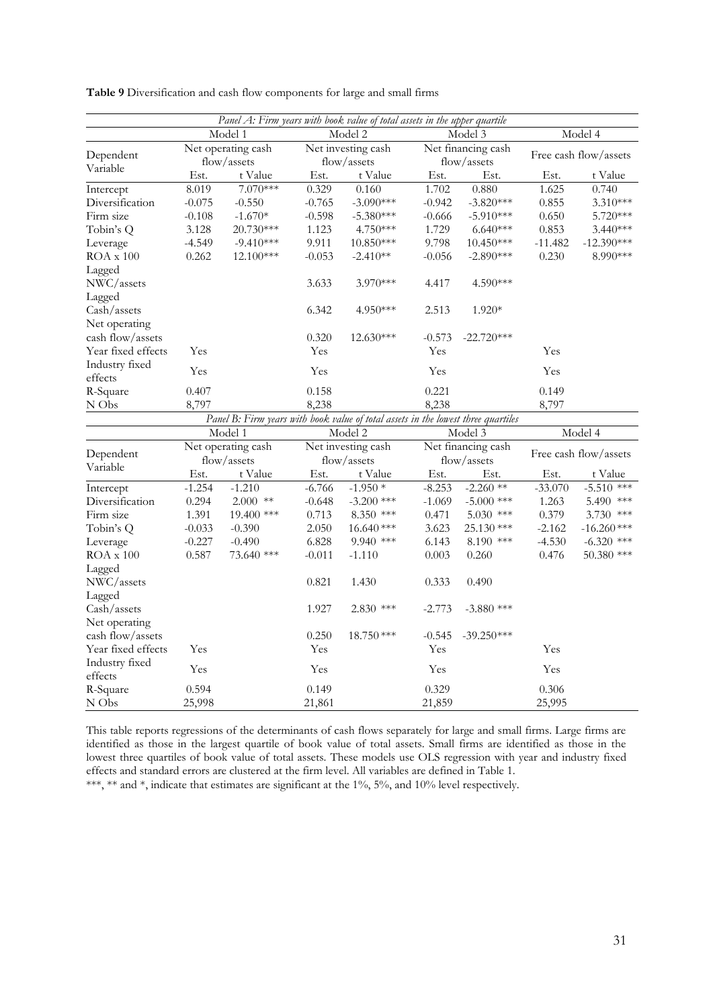|                    |                    | Panel A: Firm years with book value of total assets in the upper quartile         |                    |                    |          |                    |                       |               |
|--------------------|--------------------|-----------------------------------------------------------------------------------|--------------------|--------------------|----------|--------------------|-----------------------|---------------|
|                    |                    | Model 1                                                                           |                    | Model 2            |          | Model 3            |                       | Model 4       |
| Dependent          | Net operating cash |                                                                                   |                    | Net investing cash |          | Net financing cash |                       |               |
| Variable           |                    | flow/assets                                                                       |                    | flow/assets        |          | flow/assets        | Free cash flow/assets |               |
|                    | Est.               | t Value                                                                           | Est.               | t Value            | Est.     | Est.               | Est.                  | t Value       |
| Intercept          | 8.019              | 7.070***                                                                          | 0.329              | 0.160              | 1.702    | 0.880              | 1.625                 | 0.740         |
| Diversification    | $-0.075$           | $-0.550$                                                                          | $-0.765$           | $-3.090***$        | $-0.942$ | $-3.820***$        | 0.855                 | 3.310***      |
| Firm size          | $-0.108$           | $-1.670*$                                                                         | $-0.598$           | $-5.380***$        | $-0.666$ | $-5.910***$        | 0.650                 | 5.720***      |
| Tobin's Q          | 3.128              | 20.730***                                                                         | 1.123              | 4.750***           | 1.729    | $6.640***$         | 0.853                 | $3.440***$    |
| Leverage           | $-4.549$           | $-9.410***$                                                                       | 9.911              | $10.850***$        | 9.798    | $10.450***$        | $-11.482$             | $-12.390***$  |
| $ROA \times 100$   | 0.262              | 12.100***                                                                         | $-0.053$           | $-2.410**$         | $-0.056$ | $-2.890***$        | 0.230                 | 8.990***      |
| Lagged             |                    |                                                                                   |                    |                    |          |                    |                       |               |
| NWC/assets         |                    |                                                                                   | 3.633              | $3.970***$         | 4.417    | 4.590***           |                       |               |
| Lagged             |                    |                                                                                   |                    |                    |          |                    |                       |               |
| Cash/assets        |                    |                                                                                   | 6.342              | 4.950***           | 2.513    | 1.920*             |                       |               |
| Net operating      |                    |                                                                                   |                    |                    |          |                    |                       |               |
| cash flow/assets   |                    |                                                                                   | 0.320              | $12.630***$        | $-0.573$ | $-22.720***$       |                       |               |
| Year fixed effects | Yes                |                                                                                   | Yes                |                    | Yes      |                    | Yes                   |               |
| Industry fixed     | Yes                |                                                                                   | Yes                |                    | Yes      |                    | Yes                   |               |
| effects            |                    |                                                                                   |                    |                    |          |                    |                       |               |
| R-Square           | 0.407              |                                                                                   | 0.158              |                    | 0.221    |                    | 0.149                 |               |
| N Obs              | 8,797              |                                                                                   | 8,238              |                    | 8,238    |                    | 8,797                 |               |
|                    |                    | Panel B: Firm years with book value of total assets in the lowest three quartiles |                    |                    |          |                    |                       |               |
|                    |                    | Model 1                                                                           |                    | Model 2            |          | Model 3            |                       | Model 4       |
| Dependent          |                    | Net operating cash                                                                | Net investing cash |                    |          | Net financing cash |                       |               |
| Variable           |                    | flow/assets                                                                       |                    | flow/assets        |          | flow/assets        | Free cash flow/assets |               |
|                    | $\quad$ Est.       | t Value                                                                           | Est.               | t Value            | Est.     | Est.               | Est.                  | t Value       |
| Intercept          | $-1.254$           | $-1.210$                                                                          | $-6.766$           | $-1.950*$          | $-8.253$ | $-2.260$ **        | $-33.070$             | $-5.510$ ***  |
| Diversification    | 0.294              | $2.000$ **                                                                        | $-0.648$           | $-3.200$ ***       | $-1.069$ | $-5.000$ ***       | 1.263                 | 5.490 ***     |
| Firm size          | 1.391              | 19.400 ***                                                                        | 0.713              | 8.350 ***          | 0.471    | $5.030$ ***        | 0.379                 | 3.730 ***     |
| Tobin's Q          | $-0.033$           | $-0.390$                                                                          | 2.050              | $16.640***$        | 3.623    | 25.130 ***         | $-2.162$              | $-16.260$ *** |
| Leverage           | $-0.227$           | $-0.490$                                                                          | 6.828              | $9.940$ ***        | 6.143    | 8.190 ***          | $-4.530$              | $-6.320$ ***  |
| $ROA \ge 100$      | 0.587              | 73.640 ***                                                                        | $-0.011$           | $-1.110$           | 0.003    | 0.260              | 0.476                 | 50.380 ***    |
| Lagged             |                    |                                                                                   |                    |                    |          |                    |                       |               |
| NWC/assets         |                    |                                                                                   | 0.821              | 1.430              | 0.333    | 0.490              |                       |               |
| Lagged             |                    |                                                                                   |                    |                    |          |                    |                       |               |
| Cash/assets        |                    |                                                                                   | 1.927              | $2.830$ ***        | $-2.773$ | $-3.880$ ***       |                       |               |
| Net operating      |                    |                                                                                   |                    |                    |          |                    |                       |               |
| cash flow/assets   |                    |                                                                                   | 0.250              | $18.750***$        | $-0.545$ | $-39.250***$       |                       |               |
| Year fixed effects | Yes                |                                                                                   | Yes                |                    | Yes      |                    | Yes                   |               |
| Industry fixed     | Yes                |                                                                                   | Yes                |                    | Yes      |                    | Yes                   |               |
| effects            |                    |                                                                                   |                    |                    |          |                    |                       |               |
| R-Square           | 0.594              |                                                                                   | 0.149              |                    | 0.329    |                    | 0.306                 |               |
| ${\rm N}$ Obs      | 25,998             |                                                                                   | 21,861             |                    | 21,859   |                    | 25,995                |               |

**Table 9** Diversification and cash flow components for large and small firms

This table reports regressions of the determinants of cash flows separately for large and small firms. Large firms are identified as those in the largest quartile of book value of total assets. Small firms are identified as those in the lowest three quartiles of book value of total assets. These models use OLS regression with year and industry fixed effects and standard errors are clustered at the firm level. All variables are defined in Table 1.